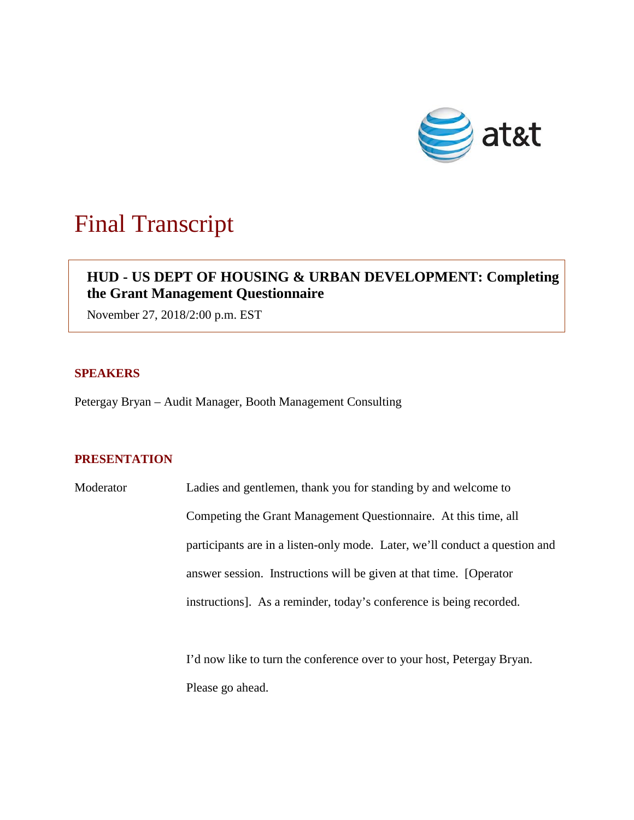

# Final Transcript

## **HUD - US DEPT OF HOUSING & URBAN DEVELOPMENT: Completing the Grant Management Questionnaire**

November 27, 2018/2:00 p.m. EST

## **SPEAKERS**

Petergay Bryan – Audit Manager, Booth Management Consulting

## **PRESENTATION**

Moderator Ladies and gentlemen, thank you for standing by and welcome to Competing the Grant Management Questionnaire. At this time, all participants are in a listen-only mode. Later, we'll conduct a question and answer session. Instructions will be given at that time. [Operator instructions]. As a reminder, today's conference is being recorded.

> I'd now like to turn the conference over to your host, Petergay Bryan. Please go ahead.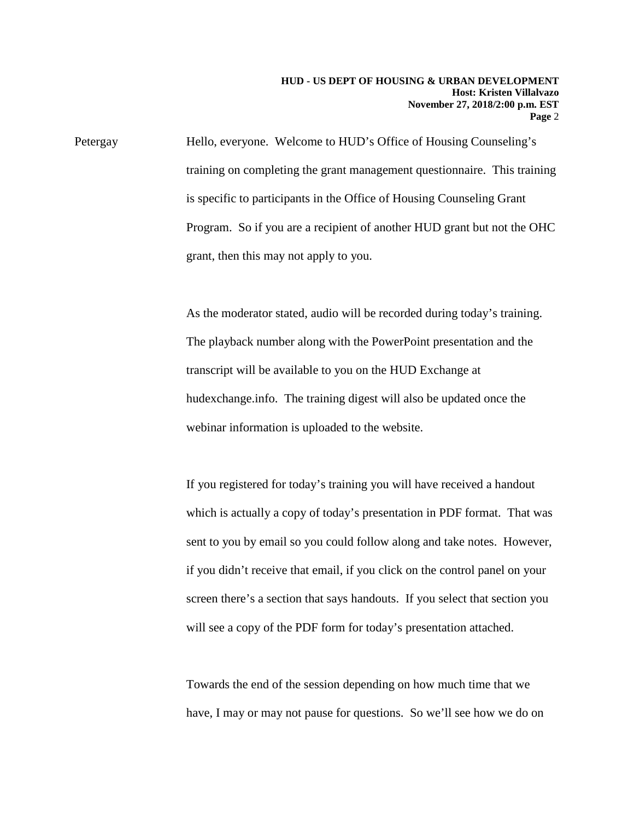Petergay Hello, everyone. Welcome to HUD's Office of Housing Counseling's training on completing the grant management questionnaire. This training is specific to participants in the Office of Housing Counseling Grant Program. So if you are a recipient of another HUD grant but not the OHC grant, then this may not apply to you.

> As the moderator stated, audio will be recorded during today's training. The playback number along with the PowerPoint presentation and the transcript will be available to you on the HUD Exchange at hudexchange.info. The training digest will also be updated once the webinar information is uploaded to the website.

If you registered for today's training you will have received a handout which is actually a copy of today's presentation in PDF format. That was sent to you by email so you could follow along and take notes. However, if you didn't receive that email, if you click on the control panel on your screen there's a section that says handouts. If you select that section you will see a copy of the PDF form for today's presentation attached.

Towards the end of the session depending on how much time that we have, I may or may not pause for questions. So we'll see how we do on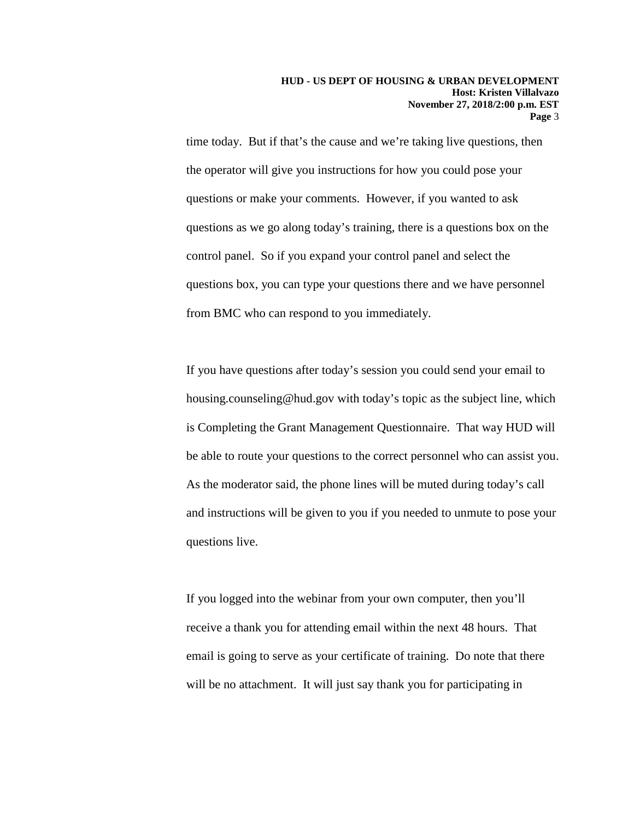time today. But if that's the cause and we're taking live questions, then the operator will give you instructions for how you could pose your questions or make your comments. However, if you wanted to ask questions as we go along today's training, there is a questions box on the control panel. So if you expand your control panel and select the questions box, you can type your questions there and we have personnel from BMC who can respond to you immediately.

If you have questions after today's session you could send your email to housing.counseling@hud.gov with today's topic as the subject line, which is Completing the Grant Management Questionnaire. That way HUD will be able to route your questions to the correct personnel who can assist you. As the moderator said, the phone lines will be muted during today's call and instructions will be given to you if you needed to unmute to pose your questions live.

If you logged into the webinar from your own computer, then you'll receive a thank you for attending email within the next 48 hours. That email is going to serve as your certificate of training. Do note that there will be no attachment. It will just say thank you for participating in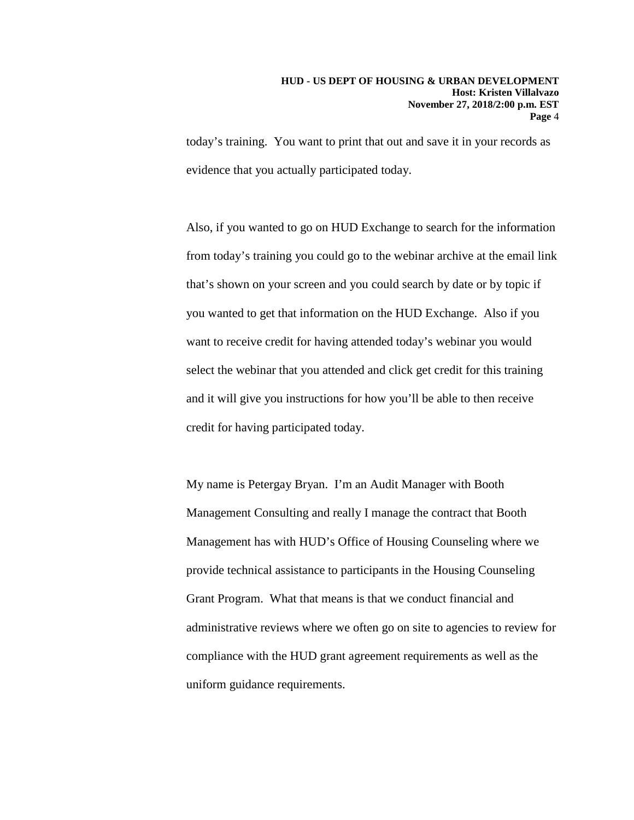today's training. You want to print that out and save it in your records as evidence that you actually participated today.

Also, if you wanted to go on HUD Exchange to search for the information from today's training you could go to the webinar archive at the email link that's shown on your screen and you could search by date or by topic if you wanted to get that information on the HUD Exchange. Also if you want to receive credit for having attended today's webinar you would select the webinar that you attended and click get credit for this training and it will give you instructions for how you'll be able to then receive credit for having participated today.

My name is Petergay Bryan. I'm an Audit Manager with Booth Management Consulting and really I manage the contract that Booth Management has with HUD's Office of Housing Counseling where we provide technical assistance to participants in the Housing Counseling Grant Program. What that means is that we conduct financial and administrative reviews where we often go on site to agencies to review for compliance with the HUD grant agreement requirements as well as the uniform guidance requirements.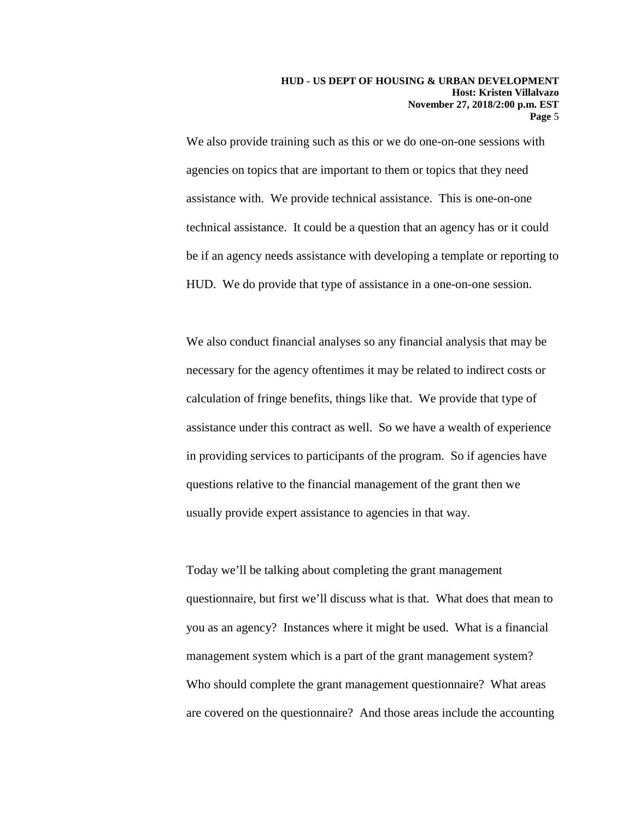We also provide training such as this or we do one-on-one sessions with agencies on topics that are important to them or topics that they need assistance with. We provide technical assistance. This is one-on-one technical assistance. It could be a question that an agency has or it could be if an agency needs assistance with developing a template or reporting to HUD. We do provide that type of assistance in a one-on-one session.

We also conduct financial analyses so any financial analysis that may be necessary for the agency oftentimes it may be related to indirect costs or calculation of fringe benefits, things like that. We provide that type of assistance under this contract as well. So we have a wealth of experience in providing services to participants of the program. So if agencies have questions relative to the financial management of the grant then we usually provide expert assistance to agencies in that way.

Today we'll be talking about completing the grant management questionnaire, but first we'll discuss what is that. What does that mean to you as an agency? Instances where it might be used. What is a financial management system which is a part of the grant management system? Who should complete the grant management questionnaire? What areas are covered on the questionnaire? And those areas include the accounting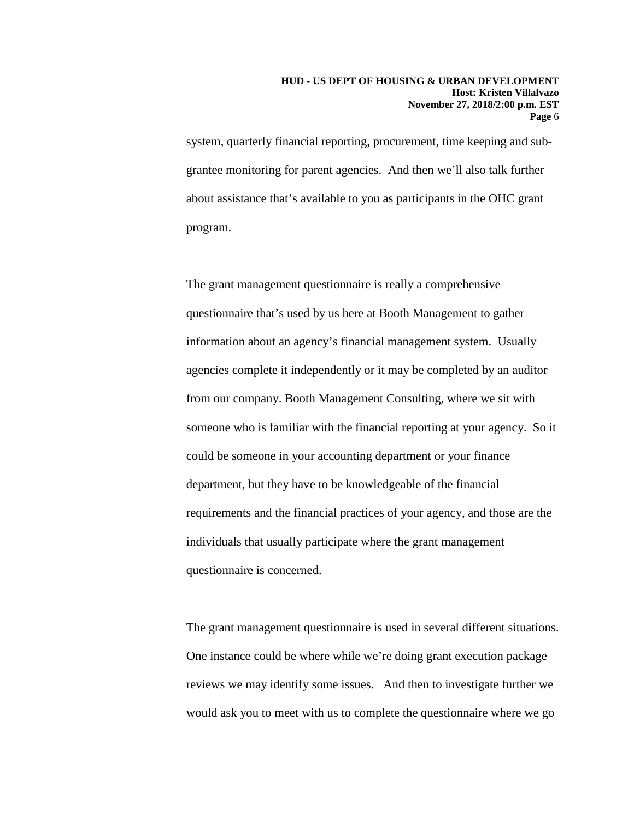system, quarterly financial reporting, procurement, time keeping and subgrantee monitoring for parent agencies. And then we'll also talk further about assistance that's available to you as participants in the OHC grant program.

The grant management questionnaire is really a comprehensive questionnaire that's used by us here at Booth Management to gather information about an agency's financial management system. Usually agencies complete it independently or it may be completed by an auditor from our company. Booth Management Consulting, where we sit with someone who is familiar with the financial reporting at your agency. So it could be someone in your accounting department or your finance department, but they have to be knowledgeable of the financial requirements and the financial practices of your agency, and those are the individuals that usually participate where the grant management questionnaire is concerned.

The grant management questionnaire is used in several different situations. One instance could be where while we're doing grant execution package reviews we may identify some issues. And then to investigate further we would ask you to meet with us to complete the questionnaire where we go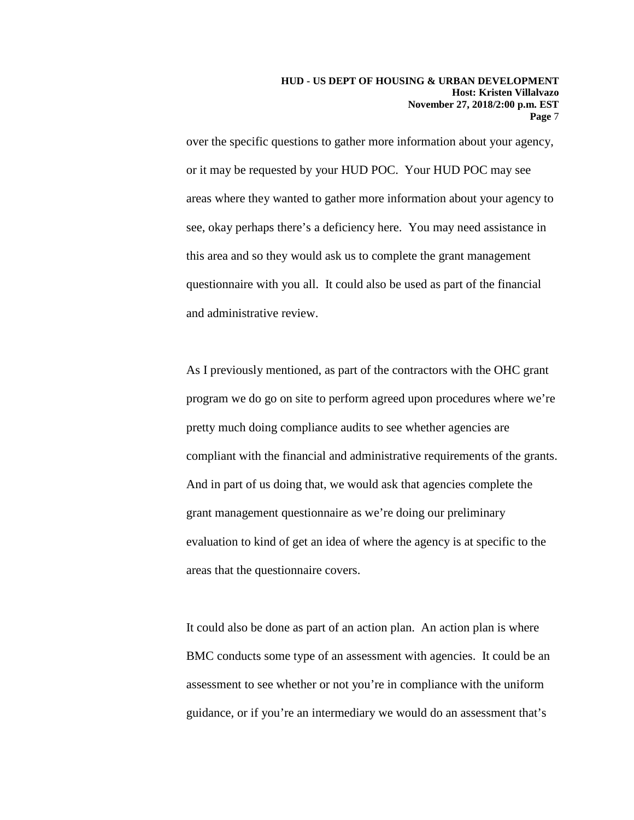over the specific questions to gather more information about your agency, or it may be requested by your HUD POC. Your HUD POC may see areas where they wanted to gather more information about your agency to see, okay perhaps there's a deficiency here. You may need assistance in this area and so they would ask us to complete the grant management questionnaire with you all. It could also be used as part of the financial and administrative review.

As I previously mentioned, as part of the contractors with the OHC grant program we do go on site to perform agreed upon procedures where we're pretty much doing compliance audits to see whether agencies are compliant with the financial and administrative requirements of the grants. And in part of us doing that, we would ask that agencies complete the grant management questionnaire as we're doing our preliminary evaluation to kind of get an idea of where the agency is at specific to the areas that the questionnaire covers.

It could also be done as part of an action plan. An action plan is where BMC conducts some type of an assessment with agencies. It could be an assessment to see whether or not you're in compliance with the uniform guidance, or if you're an intermediary we would do an assessment that's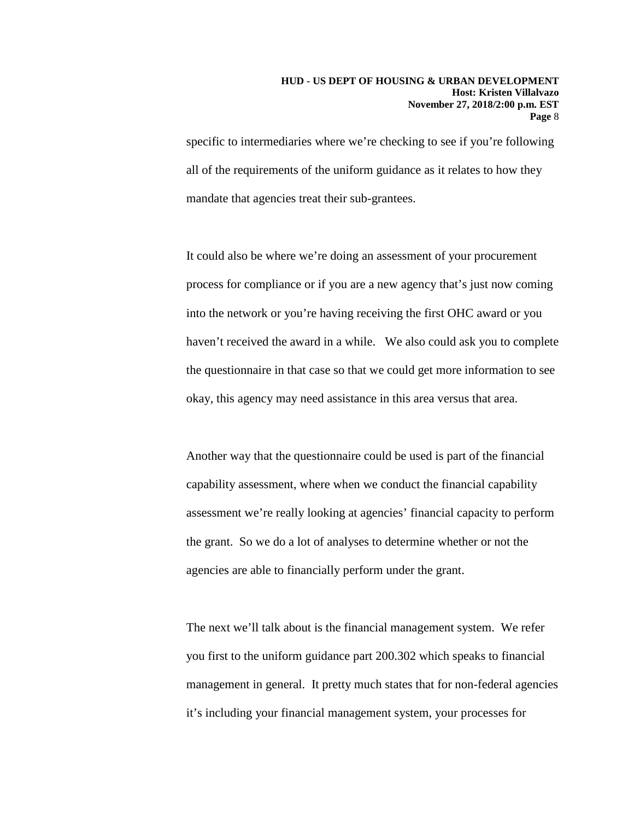### **HUD - US DEPT OF HOUSING & URBAN DEVELOPMENT Host: Kristen Villalvazo November 27, 2018/2:00 p.m. EST Page** 8

specific to intermediaries where we're checking to see if you're following all of the requirements of the uniform guidance as it relates to how they mandate that agencies treat their sub-grantees.

It could also be where we're doing an assessment of your procurement process for compliance or if you are a new agency that's just now coming into the network or you're having receiving the first OHC award or you haven't received the award in a while. We also could ask you to complete the questionnaire in that case so that we could get more information to see okay, this agency may need assistance in this area versus that area.

Another way that the questionnaire could be used is part of the financial capability assessment, where when we conduct the financial capability assessment we're really looking at agencies' financial capacity to perform the grant. So we do a lot of analyses to determine whether or not the agencies are able to financially perform under the grant.

The next we'll talk about is the financial management system. We refer you first to the uniform guidance part 200.302 which speaks to financial management in general. It pretty much states that for non-federal agencies it's including your financial management system, your processes for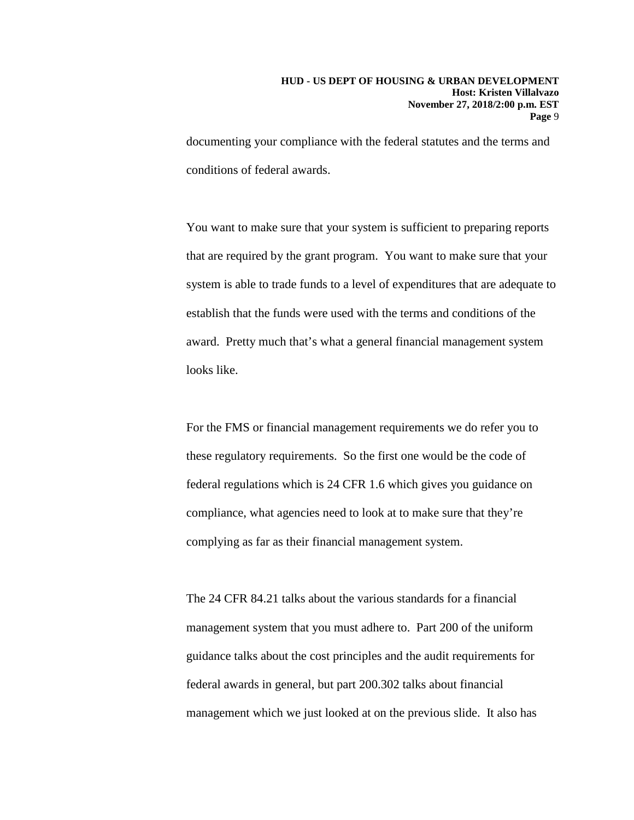documenting your compliance with the federal statutes and the terms and conditions of federal awards.

You want to make sure that your system is sufficient to preparing reports that are required by the grant program. You want to make sure that your system is able to trade funds to a level of expenditures that are adequate to establish that the funds were used with the terms and conditions of the award. Pretty much that's what a general financial management system looks like.

For the FMS or financial management requirements we do refer you to these regulatory requirements. So the first one would be the code of federal regulations which is 24 CFR 1.6 which gives you guidance on compliance, what agencies need to look at to make sure that they're complying as far as their financial management system.

The 24 CFR 84.21 talks about the various standards for a financial management system that you must adhere to. Part 200 of the uniform guidance talks about the cost principles and the audit requirements for federal awards in general, but part 200.302 talks about financial management which we just looked at on the previous slide. It also has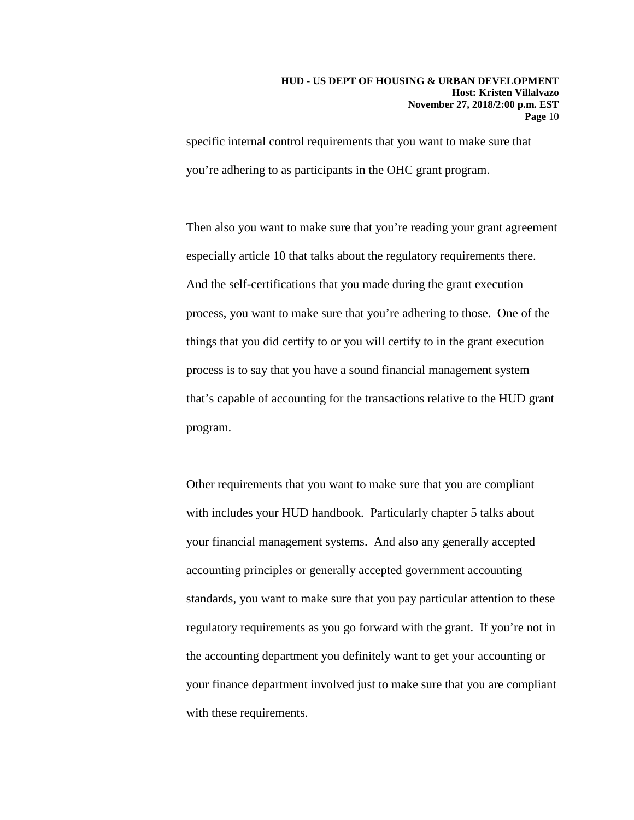specific internal control requirements that you want to make sure that you're adhering to as participants in the OHC grant program.

Then also you want to make sure that you're reading your grant agreement especially article 10 that talks about the regulatory requirements there. And the self-certifications that you made during the grant execution process, you want to make sure that you're adhering to those. One of the things that you did certify to or you will certify to in the grant execution process is to say that you have a sound financial management system that's capable of accounting for the transactions relative to the HUD grant program.

Other requirements that you want to make sure that you are compliant with includes your HUD handbook. Particularly chapter 5 talks about your financial management systems. And also any generally accepted accounting principles or generally accepted government accounting standards, you want to make sure that you pay particular attention to these regulatory requirements as you go forward with the grant. If you're not in the accounting department you definitely want to get your accounting or your finance department involved just to make sure that you are compliant with these requirements.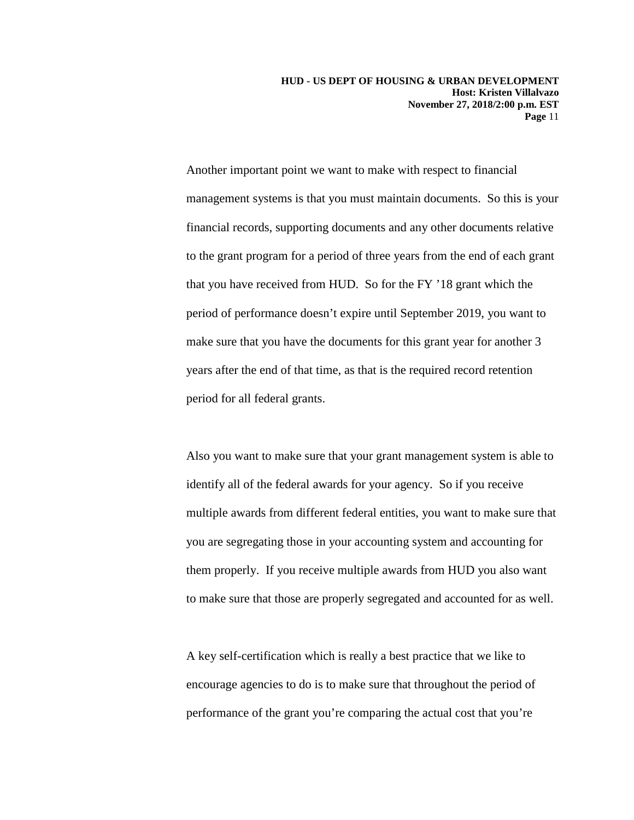**HUD - US DEPT OF HOUSING & URBAN DEVELOPMENT Host: Kristen Villalvazo November 27, 2018/2:00 p.m. EST Page** 11

Another important point we want to make with respect to financial management systems is that you must maintain documents. So this is your financial records, supporting documents and any other documents relative to the grant program for a period of three years from the end of each grant that you have received from HUD. So for the FY '18 grant which the period of performance doesn't expire until September 2019, you want to make sure that you have the documents for this grant year for another 3 years after the end of that time, as that is the required record retention period for all federal grants.

Also you want to make sure that your grant management system is able to identify all of the federal awards for your agency. So if you receive multiple awards from different federal entities, you want to make sure that you are segregating those in your accounting system and accounting for them properly. If you receive multiple awards from HUD you also want to make sure that those are properly segregated and accounted for as well.

A key self-certification which is really a best practice that we like to encourage agencies to do is to make sure that throughout the period of performance of the grant you're comparing the actual cost that you're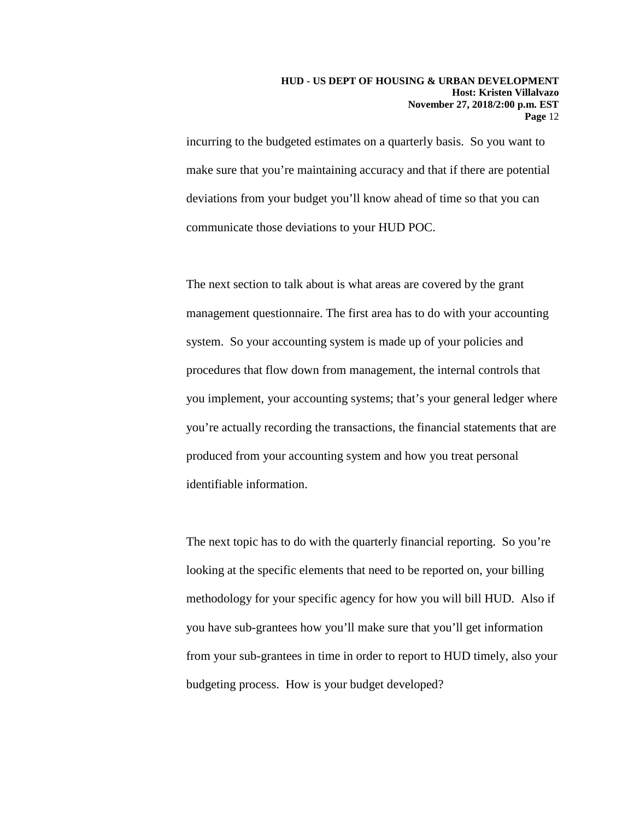incurring to the budgeted estimates on a quarterly basis. So you want to make sure that you're maintaining accuracy and that if there are potential deviations from your budget you'll know ahead of time so that you can communicate those deviations to your HUD POC.

The next section to talk about is what areas are covered by the grant management questionnaire. The first area has to do with your accounting system. So your accounting system is made up of your policies and procedures that flow down from management, the internal controls that you implement, your accounting systems; that's your general ledger where you're actually recording the transactions, the financial statements that are produced from your accounting system and how you treat personal identifiable information.

The next topic has to do with the quarterly financial reporting. So you're looking at the specific elements that need to be reported on, your billing methodology for your specific agency for how you will bill HUD. Also if you have sub-grantees how you'll make sure that you'll get information from your sub-grantees in time in order to report to HUD timely, also your budgeting process. How is your budget developed?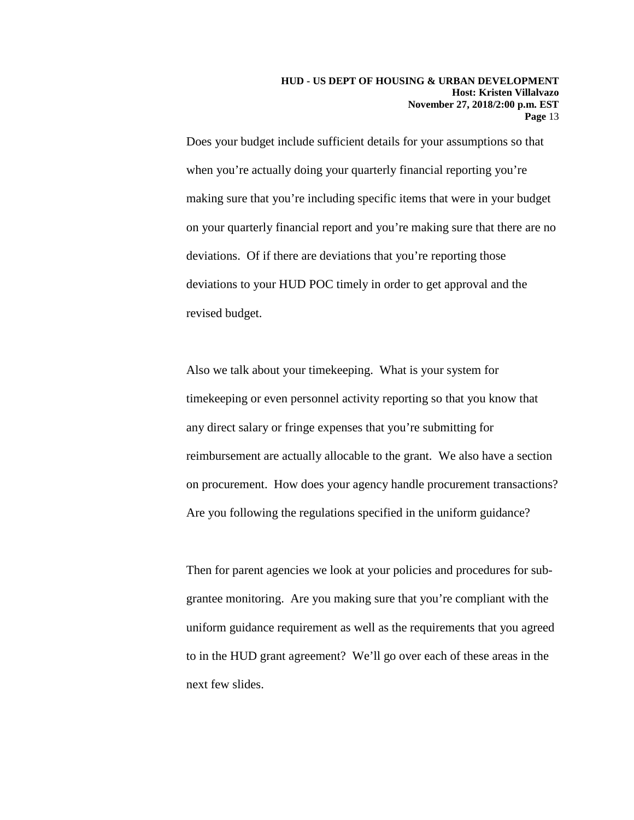Does your budget include sufficient details for your assumptions so that when you're actually doing your quarterly financial reporting you're making sure that you're including specific items that were in your budget on your quarterly financial report and you're making sure that there are no deviations. Of if there are deviations that you're reporting those deviations to your HUD POC timely in order to get approval and the revised budget.

Also we talk about your timekeeping. What is your system for timekeeping or even personnel activity reporting so that you know that any direct salary or fringe expenses that you're submitting for reimbursement are actually allocable to the grant. We also have a section on procurement. How does your agency handle procurement transactions? Are you following the regulations specified in the uniform guidance?

Then for parent agencies we look at your policies and procedures for subgrantee monitoring. Are you making sure that you're compliant with the uniform guidance requirement as well as the requirements that you agreed to in the HUD grant agreement? We'll go over each of these areas in the next few slides.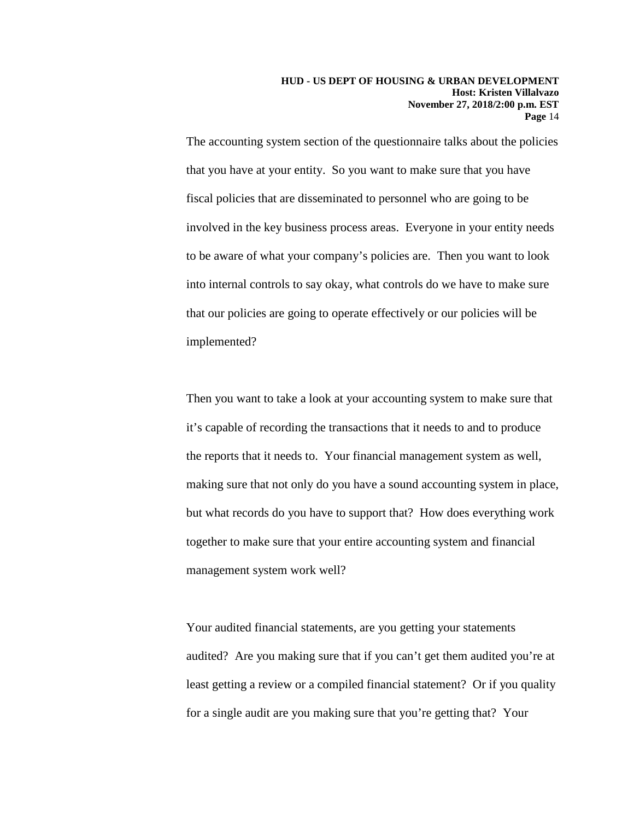The accounting system section of the questionnaire talks about the policies that you have at your entity. So you want to make sure that you have fiscal policies that are disseminated to personnel who are going to be involved in the key business process areas. Everyone in your entity needs to be aware of what your company's policies are. Then you want to look into internal controls to say okay, what controls do we have to make sure that our policies are going to operate effectively or our policies will be implemented?

Then you want to take a look at your accounting system to make sure that it's capable of recording the transactions that it needs to and to produce the reports that it needs to. Your financial management system as well, making sure that not only do you have a sound accounting system in place, but what records do you have to support that? How does everything work together to make sure that your entire accounting system and financial management system work well?

Your audited financial statements, are you getting your statements audited? Are you making sure that if you can't get them audited you're at least getting a review or a compiled financial statement? Or if you quality for a single audit are you making sure that you're getting that? Your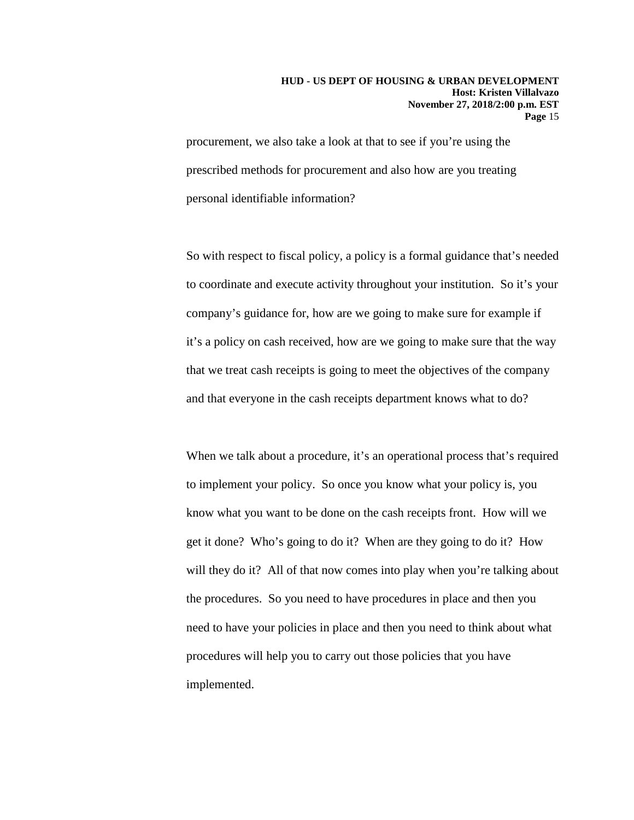procurement, we also take a look at that to see if you're using the prescribed methods for procurement and also how are you treating personal identifiable information?

So with respect to fiscal policy, a policy is a formal guidance that's needed to coordinate and execute activity throughout your institution. So it's your company's guidance for, how are we going to make sure for example if it's a policy on cash received, how are we going to make sure that the way that we treat cash receipts is going to meet the objectives of the company and that everyone in the cash receipts department knows what to do?

When we talk about a procedure, it's an operational process that's required to implement your policy. So once you know what your policy is, you know what you want to be done on the cash receipts front. How will we get it done? Who's going to do it? When are they going to do it? How will they do it? All of that now comes into play when you're talking about the procedures. So you need to have procedures in place and then you need to have your policies in place and then you need to think about what procedures will help you to carry out those policies that you have implemented.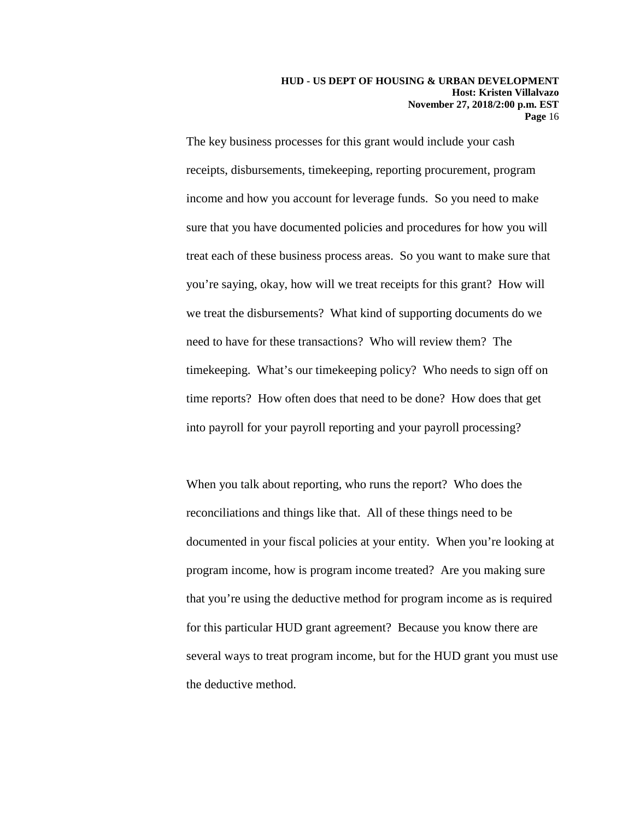The key business processes for this grant would include your cash receipts, disbursements, timekeeping, reporting procurement, program income and how you account for leverage funds. So you need to make sure that you have documented policies and procedures for how you will treat each of these business process areas. So you want to make sure that you're saying, okay, how will we treat receipts for this grant? How will we treat the disbursements? What kind of supporting documents do we need to have for these transactions? Who will review them? The timekeeping. What's our timekeeping policy? Who needs to sign off on time reports? How often does that need to be done? How does that get into payroll for your payroll reporting and your payroll processing?

When you talk about reporting, who runs the report? Who does the reconciliations and things like that. All of these things need to be documented in your fiscal policies at your entity. When you're looking at program income, how is program income treated? Are you making sure that you're using the deductive method for program income as is required for this particular HUD grant agreement? Because you know there are several ways to treat program income, but for the HUD grant you must use the deductive method.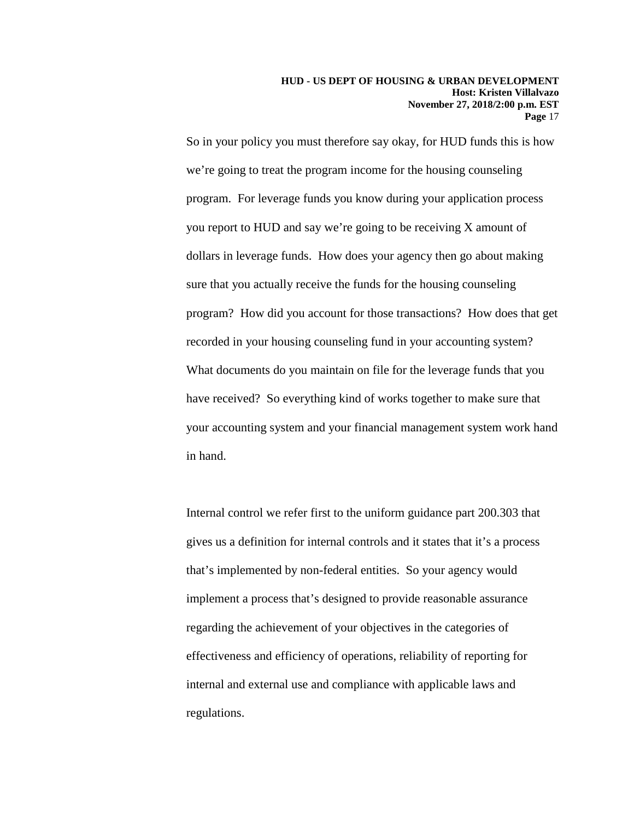So in your policy you must therefore say okay, for HUD funds this is how we're going to treat the program income for the housing counseling program. For leverage funds you know during your application process you report to HUD and say we're going to be receiving X amount of dollars in leverage funds. How does your agency then go about making sure that you actually receive the funds for the housing counseling program? How did you account for those transactions? How does that get recorded in your housing counseling fund in your accounting system? What documents do you maintain on file for the leverage funds that you have received? So everything kind of works together to make sure that your accounting system and your financial management system work hand in hand.

Internal control we refer first to the uniform guidance part 200.303 that gives us a definition for internal controls and it states that it's a process that's implemented by non-federal entities. So your agency would implement a process that's designed to provide reasonable assurance regarding the achievement of your objectives in the categories of effectiveness and efficiency of operations, reliability of reporting for internal and external use and compliance with applicable laws and regulations.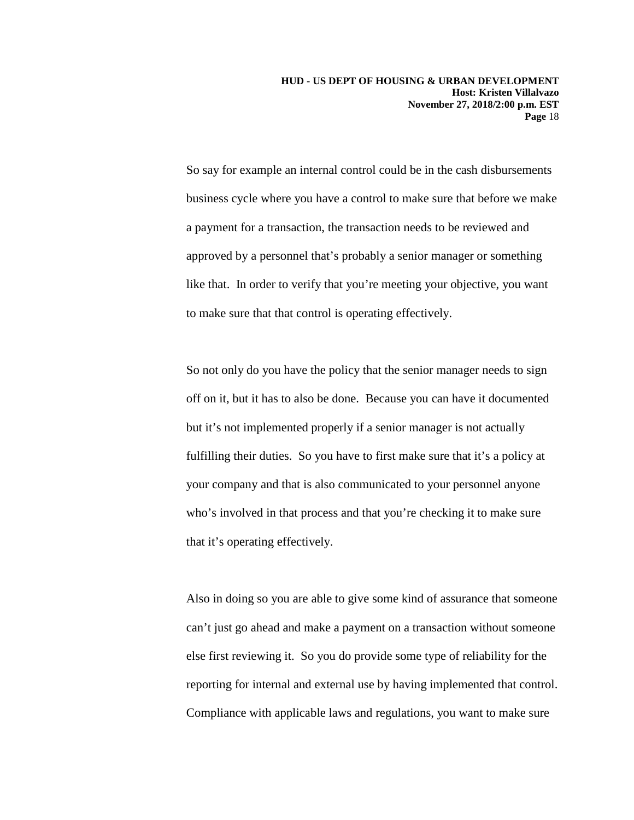So say for example an internal control could be in the cash disbursements business cycle where you have a control to make sure that before we make a payment for a transaction, the transaction needs to be reviewed and approved by a personnel that's probably a senior manager or something like that. In order to verify that you're meeting your objective, you want to make sure that that control is operating effectively.

So not only do you have the policy that the senior manager needs to sign off on it, but it has to also be done. Because you can have it documented but it's not implemented properly if a senior manager is not actually fulfilling their duties. So you have to first make sure that it's a policy at your company and that is also communicated to your personnel anyone who's involved in that process and that you're checking it to make sure that it's operating effectively.

Also in doing so you are able to give some kind of assurance that someone can't just go ahead and make a payment on a transaction without someone else first reviewing it. So you do provide some type of reliability for the reporting for internal and external use by having implemented that control. Compliance with applicable laws and regulations, you want to make sure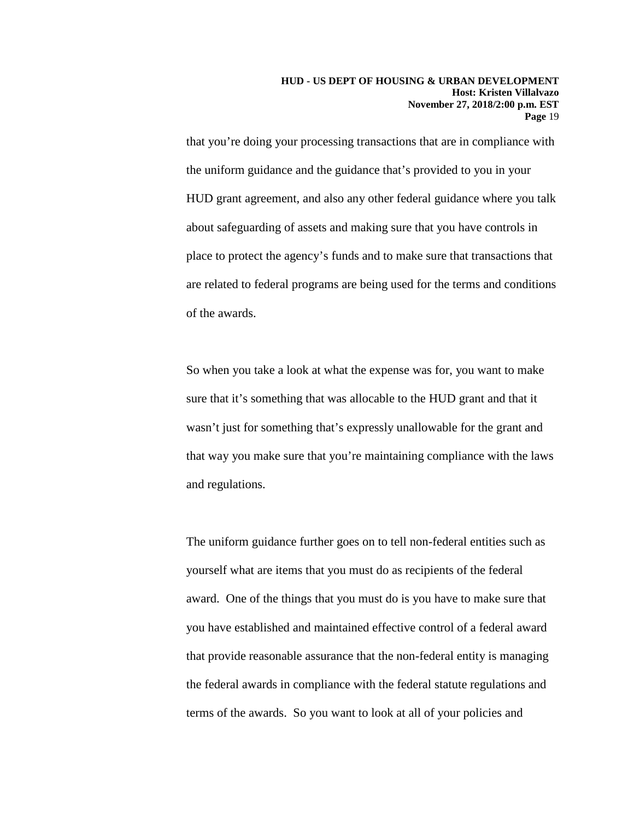that you're doing your processing transactions that are in compliance with the uniform guidance and the guidance that's provided to you in your HUD grant agreement, and also any other federal guidance where you talk about safeguarding of assets and making sure that you have controls in place to protect the agency's funds and to make sure that transactions that are related to federal programs are being used for the terms and conditions of the awards.

So when you take a look at what the expense was for, you want to make sure that it's something that was allocable to the HUD grant and that it wasn't just for something that's expressly unallowable for the grant and that way you make sure that you're maintaining compliance with the laws and regulations.

The uniform guidance further goes on to tell non-federal entities such as yourself what are items that you must do as recipients of the federal award. One of the things that you must do is you have to make sure that you have established and maintained effective control of a federal award that provide reasonable assurance that the non-federal entity is managing the federal awards in compliance with the federal statute regulations and terms of the awards. So you want to look at all of your policies and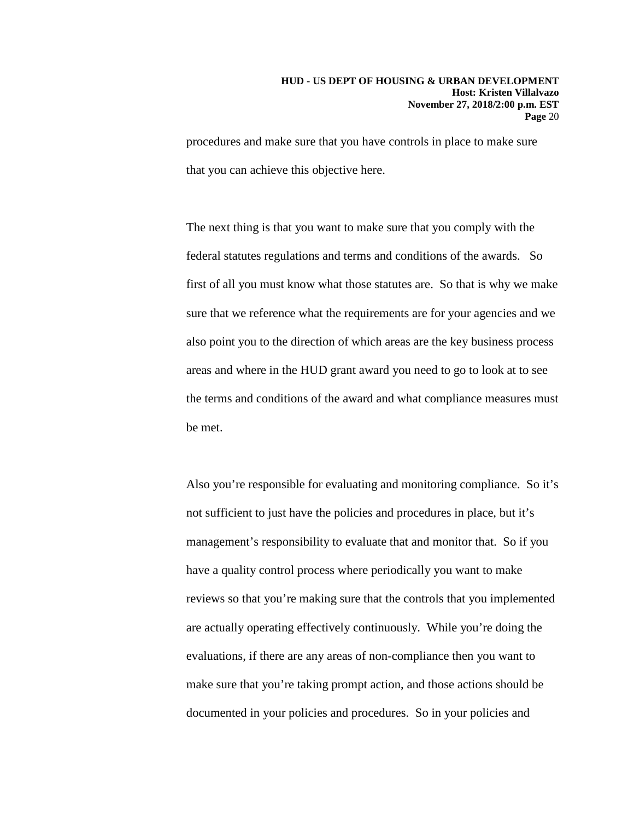procedures and make sure that you have controls in place to make sure that you can achieve this objective here.

The next thing is that you want to make sure that you comply with the federal statutes regulations and terms and conditions of the awards. So first of all you must know what those statutes are. So that is why we make sure that we reference what the requirements are for your agencies and we also point you to the direction of which areas are the key business process areas and where in the HUD grant award you need to go to look at to see the terms and conditions of the award and what compliance measures must be met.

Also you're responsible for evaluating and monitoring compliance. So it's not sufficient to just have the policies and procedures in place, but it's management's responsibility to evaluate that and monitor that. So if you have a quality control process where periodically you want to make reviews so that you're making sure that the controls that you implemented are actually operating effectively continuously. While you're doing the evaluations, if there are any areas of non-compliance then you want to make sure that you're taking prompt action, and those actions should be documented in your policies and procedures. So in your policies and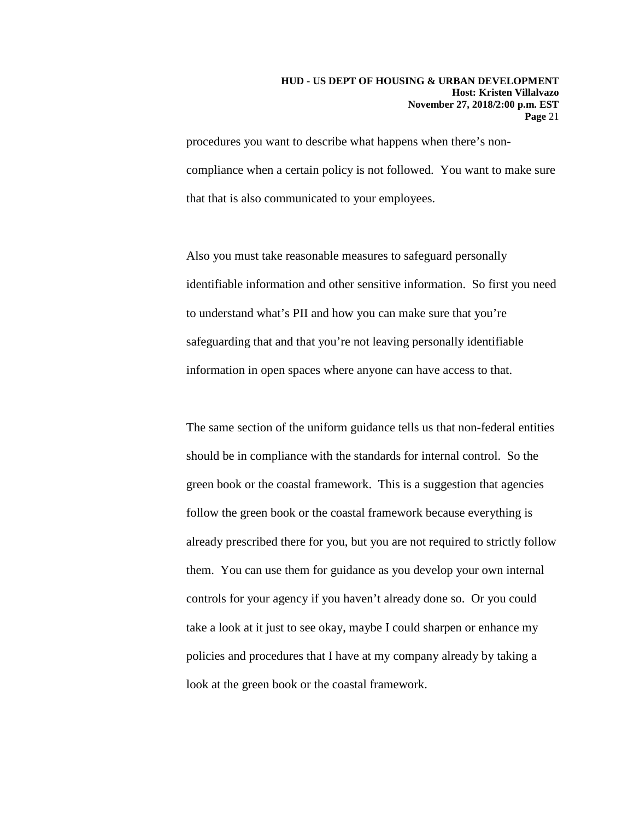procedures you want to describe what happens when there's noncompliance when a certain policy is not followed. You want to make sure that that is also communicated to your employees.

Also you must take reasonable measures to safeguard personally identifiable information and other sensitive information. So first you need to understand what's PII and how you can make sure that you're safeguarding that and that you're not leaving personally identifiable information in open spaces where anyone can have access to that.

The same section of the uniform guidance tells us that non-federal entities should be in compliance with the standards for internal control. So the green book or the coastal framework. This is a suggestion that agencies follow the green book or the coastal framework because everything is already prescribed there for you, but you are not required to strictly follow them. You can use them for guidance as you develop your own internal controls for your agency if you haven't already done so. Or you could take a look at it just to see okay, maybe I could sharpen or enhance my policies and procedures that I have at my company already by taking a look at the green book or the coastal framework.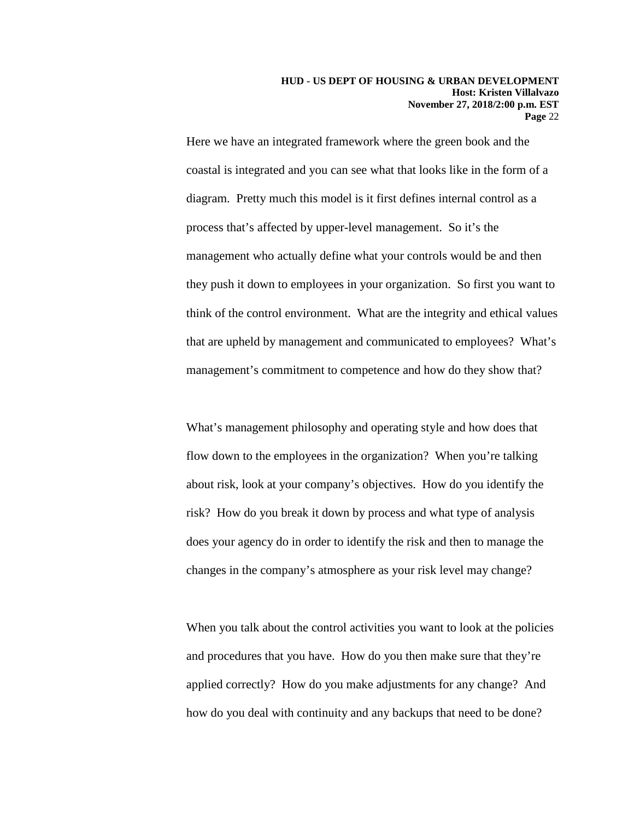Here we have an integrated framework where the green book and the coastal is integrated and you can see what that looks like in the form of a diagram. Pretty much this model is it first defines internal control as a process that's affected by upper-level management. So it's the management who actually define what your controls would be and then they push it down to employees in your organization. So first you want to think of the control environment. What are the integrity and ethical values that are upheld by management and communicated to employees? What's management's commitment to competence and how do they show that?

What's management philosophy and operating style and how does that flow down to the employees in the organization? When you're talking about risk, look at your company's objectives. How do you identify the risk? How do you break it down by process and what type of analysis does your agency do in order to identify the risk and then to manage the changes in the company's atmosphere as your risk level may change?

When you talk about the control activities you want to look at the policies and procedures that you have. How do you then make sure that they're applied correctly? How do you make adjustments for any change? And how do you deal with continuity and any backups that need to be done?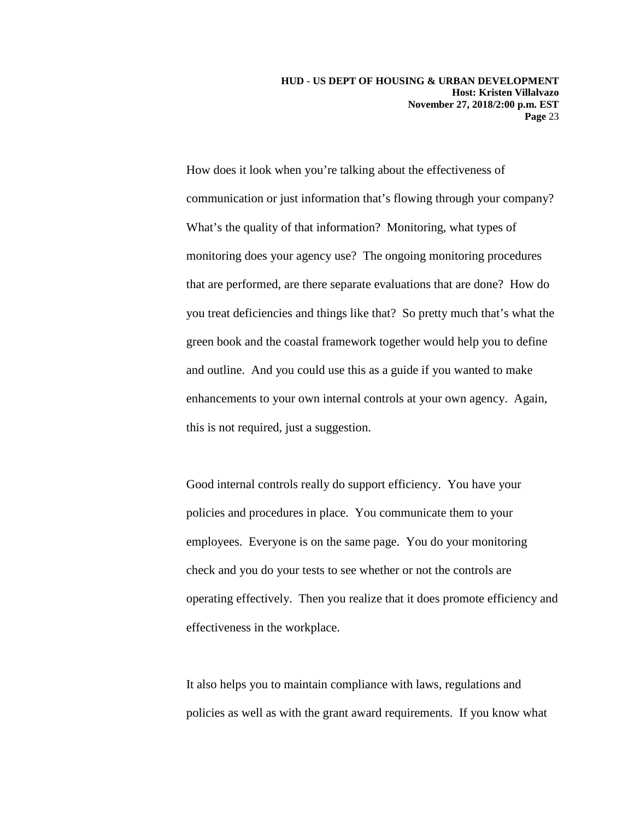**HUD - US DEPT OF HOUSING & URBAN DEVELOPMENT Host: Kristen Villalvazo November 27, 2018/2:00 p.m. EST Page** 23

How does it look when you're talking about the effectiveness of communication or just information that's flowing through your company? What's the quality of that information? Monitoring, what types of monitoring does your agency use? The ongoing monitoring procedures that are performed, are there separate evaluations that are done? How do you treat deficiencies and things like that? So pretty much that's what the green book and the coastal framework together would help you to define and outline. And you could use this as a guide if you wanted to make enhancements to your own internal controls at your own agency. Again, this is not required, just a suggestion.

Good internal controls really do support efficiency. You have your policies and procedures in place. You communicate them to your employees. Everyone is on the same page. You do your monitoring check and you do your tests to see whether or not the controls are operating effectively. Then you realize that it does promote efficiency and effectiveness in the workplace.

It also helps you to maintain compliance with laws, regulations and policies as well as with the grant award requirements. If you know what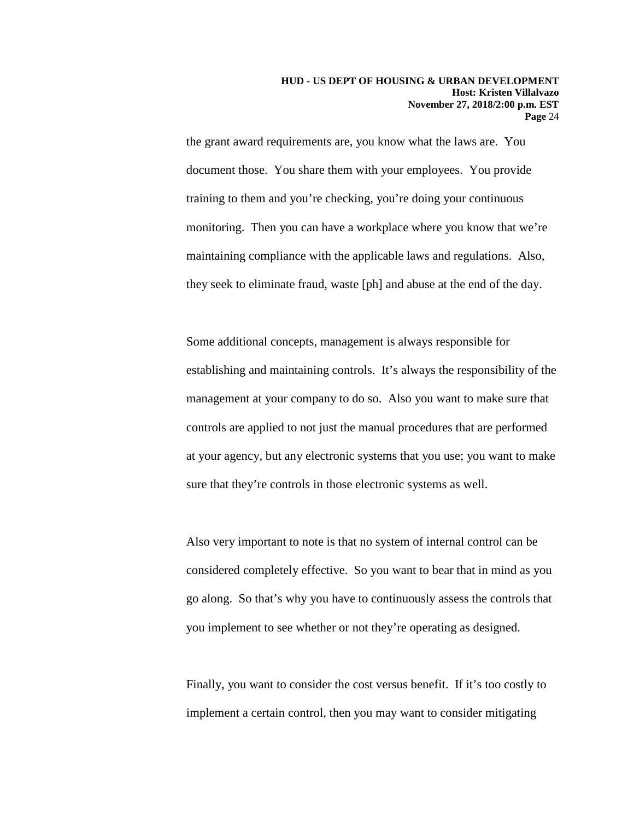the grant award requirements are, you know what the laws are. You document those. You share them with your employees. You provide training to them and you're checking, you're doing your continuous monitoring. Then you can have a workplace where you know that we're maintaining compliance with the applicable laws and regulations. Also, they seek to eliminate fraud, waste [ph] and abuse at the end of the day.

Some additional concepts, management is always responsible for establishing and maintaining controls. It's always the responsibility of the management at your company to do so. Also you want to make sure that controls are applied to not just the manual procedures that are performed at your agency, but any electronic systems that you use; you want to make sure that they're controls in those electronic systems as well.

Also very important to note is that no system of internal control can be considered completely effective. So you want to bear that in mind as you go along. So that's why you have to continuously assess the controls that you implement to see whether or not they're operating as designed.

Finally, you want to consider the cost versus benefit. If it's too costly to implement a certain control, then you may want to consider mitigating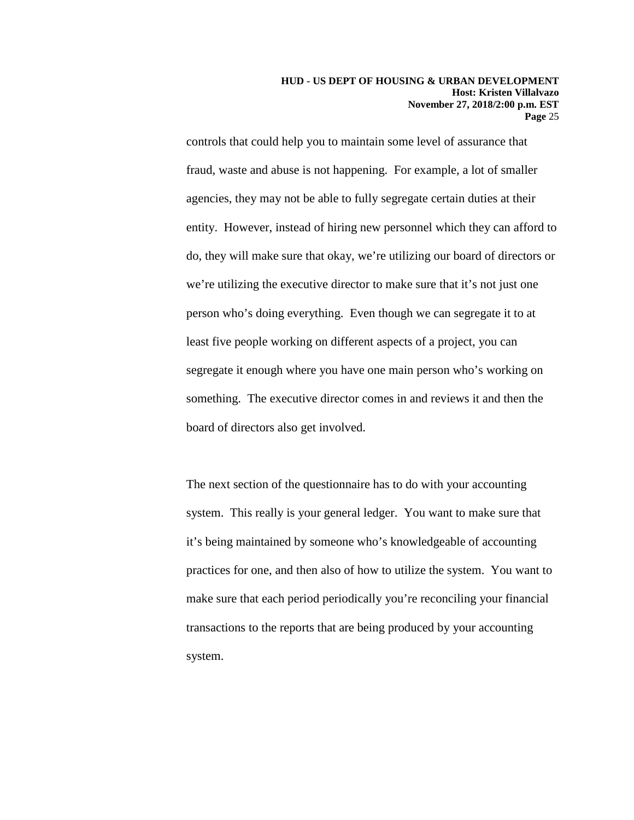controls that could help you to maintain some level of assurance that fraud, waste and abuse is not happening. For example, a lot of smaller agencies, they may not be able to fully segregate certain duties at their entity. However, instead of hiring new personnel which they can afford to do, they will make sure that okay, we're utilizing our board of directors or we're utilizing the executive director to make sure that it's not just one person who's doing everything. Even though we can segregate it to at least five people working on different aspects of a project, you can segregate it enough where you have one main person who's working on something. The executive director comes in and reviews it and then the board of directors also get involved.

The next section of the questionnaire has to do with your accounting system. This really is your general ledger. You want to make sure that it's being maintained by someone who's knowledgeable of accounting practices for one, and then also of how to utilize the system. You want to make sure that each period periodically you're reconciling your financial transactions to the reports that are being produced by your accounting system.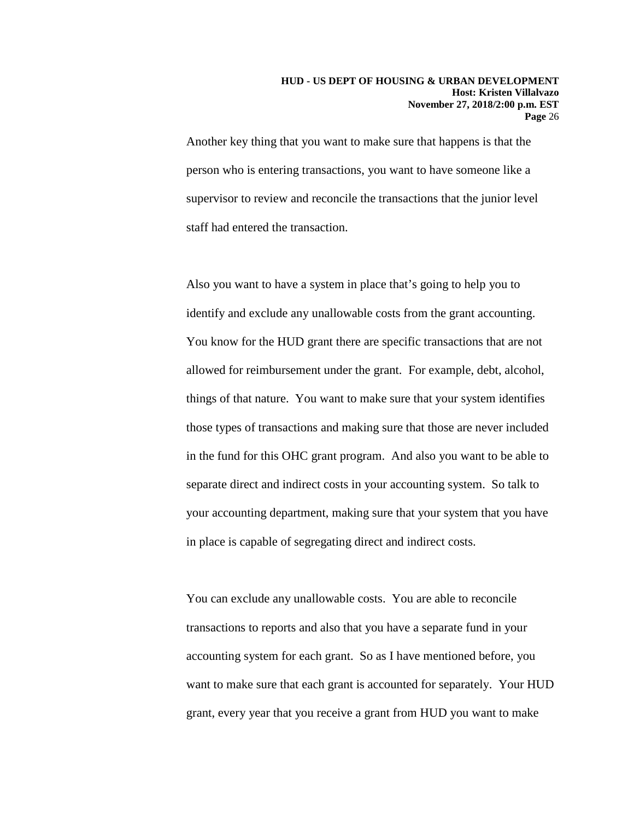Another key thing that you want to make sure that happens is that the person who is entering transactions, you want to have someone like a supervisor to review and reconcile the transactions that the junior level staff had entered the transaction.

Also you want to have a system in place that's going to help you to identify and exclude any unallowable costs from the grant accounting. You know for the HUD grant there are specific transactions that are not allowed for reimbursement under the grant. For example, debt, alcohol, things of that nature. You want to make sure that your system identifies those types of transactions and making sure that those are never included in the fund for this OHC grant program. And also you want to be able to separate direct and indirect costs in your accounting system. So talk to your accounting department, making sure that your system that you have in place is capable of segregating direct and indirect costs.

You can exclude any unallowable costs. You are able to reconcile transactions to reports and also that you have a separate fund in your accounting system for each grant. So as I have mentioned before, you want to make sure that each grant is accounted for separately. Your HUD grant, every year that you receive a grant from HUD you want to make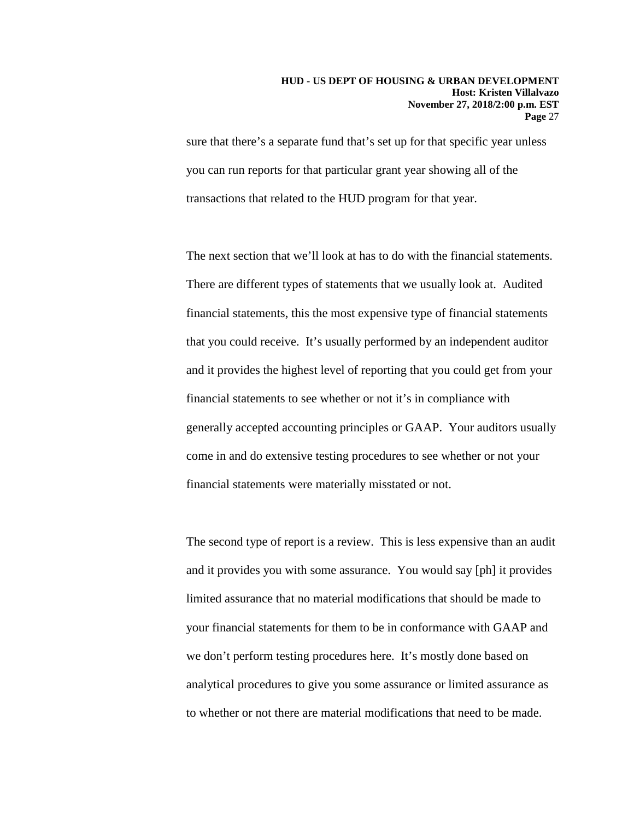sure that there's a separate fund that's set up for that specific year unless you can run reports for that particular grant year showing all of the transactions that related to the HUD program for that year.

The next section that we'll look at has to do with the financial statements. There are different types of statements that we usually look at. Audited financial statements, this the most expensive type of financial statements that you could receive. It's usually performed by an independent auditor and it provides the highest level of reporting that you could get from your financial statements to see whether or not it's in compliance with generally accepted accounting principles or GAAP. Your auditors usually come in and do extensive testing procedures to see whether or not your financial statements were materially misstated or not.

The second type of report is a review. This is less expensive than an audit and it provides you with some assurance. You would say [ph] it provides limited assurance that no material modifications that should be made to your financial statements for them to be in conformance with GAAP and we don't perform testing procedures here. It's mostly done based on analytical procedures to give you some assurance or limited assurance as to whether or not there are material modifications that need to be made.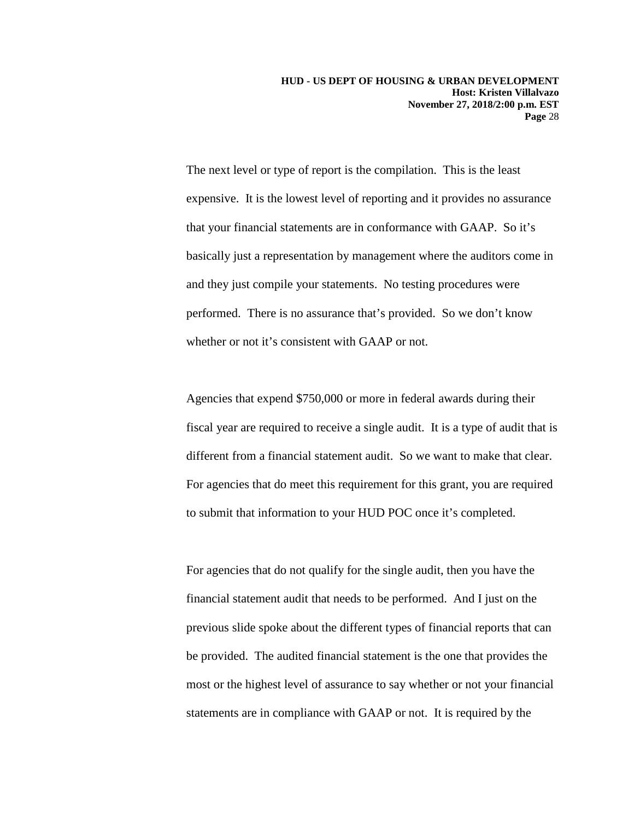The next level or type of report is the compilation. This is the least expensive. It is the lowest level of reporting and it provides no assurance that your financial statements are in conformance with GAAP. So it's basically just a representation by management where the auditors come in and they just compile your statements. No testing procedures were performed. There is no assurance that's provided. So we don't know whether or not it's consistent with GAAP or not.

Agencies that expend \$750,000 or more in federal awards during their fiscal year are required to receive a single audit. It is a type of audit that is different from a financial statement audit. So we want to make that clear. For agencies that do meet this requirement for this grant, you are required to submit that information to your HUD POC once it's completed.

For agencies that do not qualify for the single audit, then you have the financial statement audit that needs to be performed. And I just on the previous slide spoke about the different types of financial reports that can be provided. The audited financial statement is the one that provides the most or the highest level of assurance to say whether or not your financial statements are in compliance with GAAP or not. It is required by the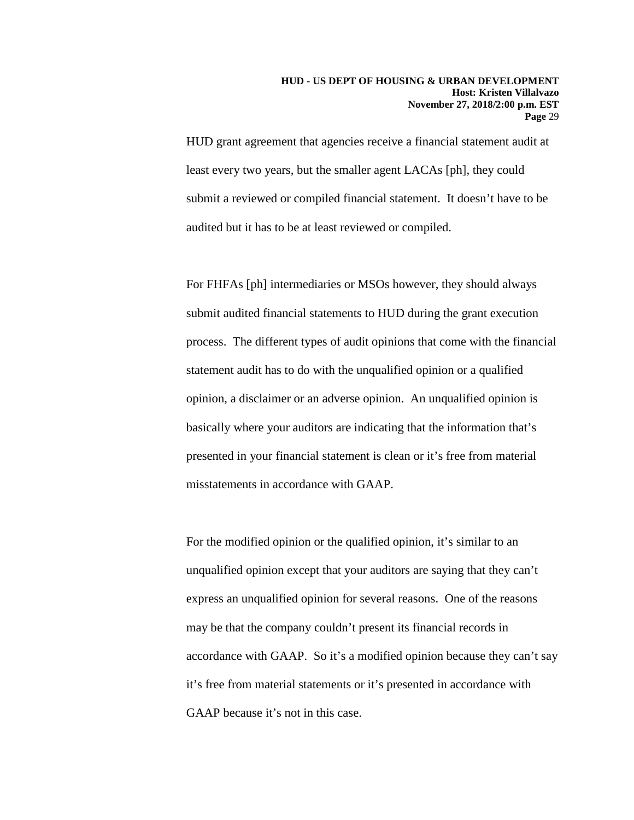HUD grant agreement that agencies receive a financial statement audit at least every two years, but the smaller agent LACAs [ph], they could submit a reviewed or compiled financial statement. It doesn't have to be audited but it has to be at least reviewed or compiled.

For FHFAs [ph] intermediaries or MSOs however, they should always submit audited financial statements to HUD during the grant execution process. The different types of audit opinions that come with the financial statement audit has to do with the unqualified opinion or a qualified opinion, a disclaimer or an adverse opinion. An unqualified opinion is basically where your auditors are indicating that the information that's presented in your financial statement is clean or it's free from material misstatements in accordance with GAAP.

For the modified opinion or the qualified opinion, it's similar to an unqualified opinion except that your auditors are saying that they can't express an unqualified opinion for several reasons. One of the reasons may be that the company couldn't present its financial records in accordance with GAAP. So it's a modified opinion because they can't say it's free from material statements or it's presented in accordance with GAAP because it's not in this case.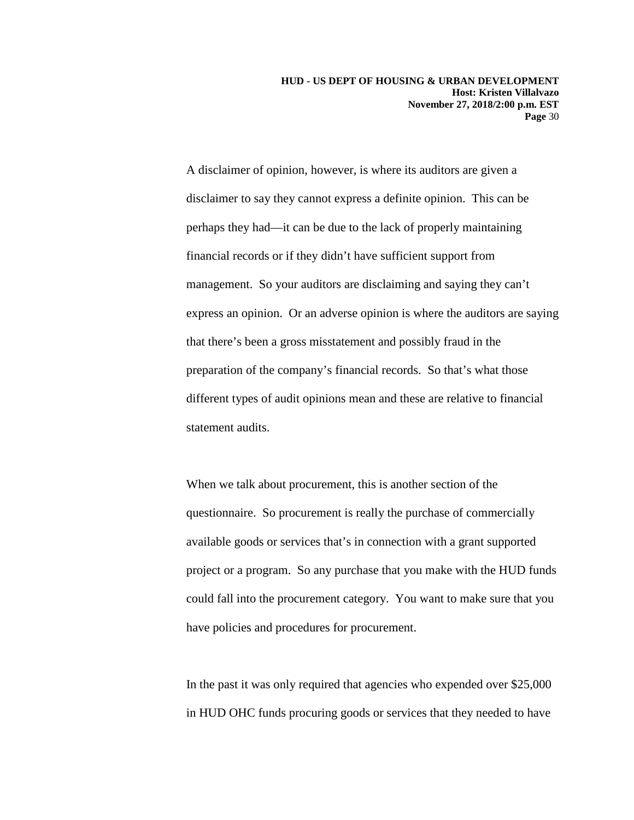**HUD - US DEPT OF HOUSING & URBAN DEVELOPMENT Host: Kristen Villalvazo November 27, 2018/2:00 p.m. EST Page** 30

A disclaimer of opinion, however, is where its auditors are given a disclaimer to say they cannot express a definite opinion. This can be perhaps they had—it can be due to the lack of properly maintaining financial records or if they didn't have sufficient support from management. So your auditors are disclaiming and saying they can't express an opinion. Or an adverse opinion is where the auditors are saying that there's been a gross misstatement and possibly fraud in the preparation of the company's financial records. So that's what those different types of audit opinions mean and these are relative to financial statement audits.

When we talk about procurement, this is another section of the questionnaire. So procurement is really the purchase of commercially available goods or services that's in connection with a grant supported project or a program. So any purchase that you make with the HUD funds could fall into the procurement category. You want to make sure that you have policies and procedures for procurement.

In the past it was only required that agencies who expended over \$25,000 in HUD OHC funds procuring goods or services that they needed to have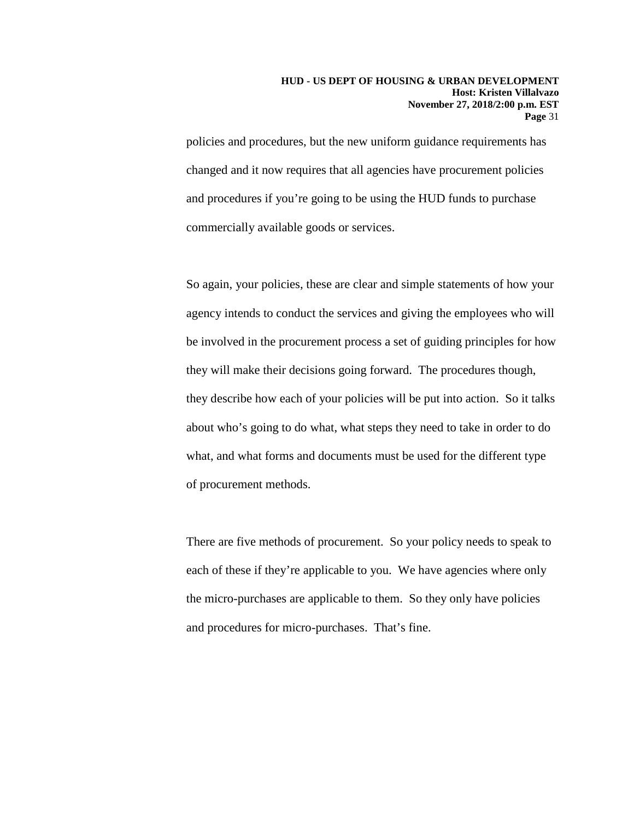policies and procedures, but the new uniform guidance requirements has changed and it now requires that all agencies have procurement policies and procedures if you're going to be using the HUD funds to purchase commercially available goods or services.

So again, your policies, these are clear and simple statements of how your agency intends to conduct the services and giving the employees who will be involved in the procurement process a set of guiding principles for how they will make their decisions going forward. The procedures though, they describe how each of your policies will be put into action. So it talks about who's going to do what, what steps they need to take in order to do what, and what forms and documents must be used for the different type of procurement methods.

There are five methods of procurement. So your policy needs to speak to each of these if they're applicable to you. We have agencies where only the micro-purchases are applicable to them. So they only have policies and procedures for micro-purchases. That's fine.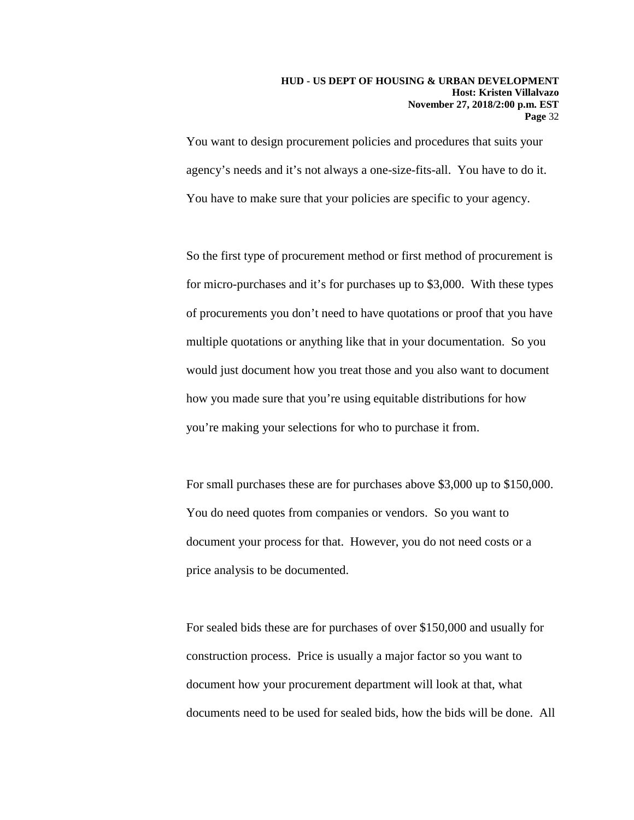You want to design procurement policies and procedures that suits your agency's needs and it's not always a one-size-fits-all. You have to do it. You have to make sure that your policies are specific to your agency.

So the first type of procurement method or first method of procurement is for micro-purchases and it's for purchases up to \$3,000. With these types of procurements you don't need to have quotations or proof that you have multiple quotations or anything like that in your documentation. So you would just document how you treat those and you also want to document how you made sure that you're using equitable distributions for how you're making your selections for who to purchase it from.

For small purchases these are for purchases above \$3,000 up to \$150,000. You do need quotes from companies or vendors. So you want to document your process for that. However, you do not need costs or a price analysis to be documented.

For sealed bids these are for purchases of over \$150,000 and usually for construction process. Price is usually a major factor so you want to document how your procurement department will look at that, what documents need to be used for sealed bids, how the bids will be done. All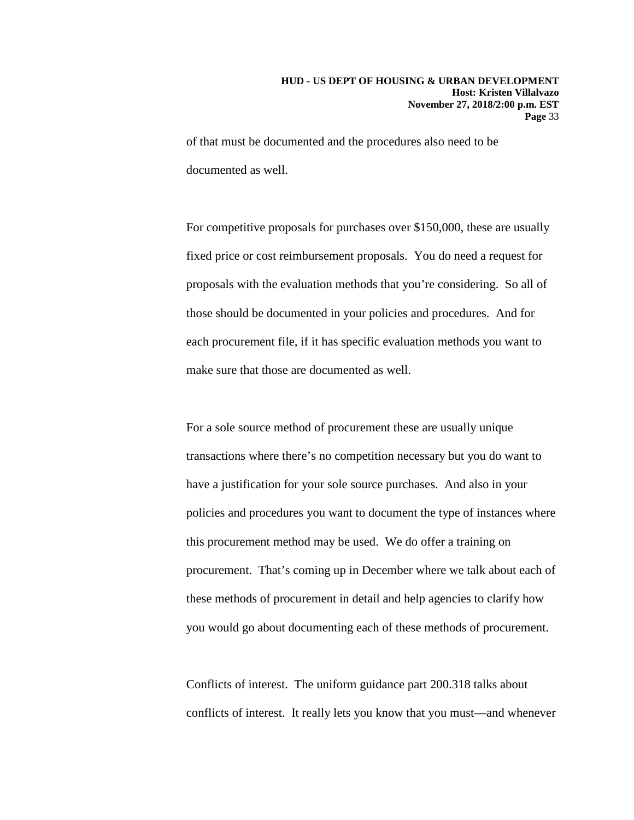of that must be documented and the procedures also need to be documented as well.

For competitive proposals for purchases over \$150,000, these are usually fixed price or cost reimbursement proposals. You do need a request for proposals with the evaluation methods that you're considering. So all of those should be documented in your policies and procedures. And for each procurement file, if it has specific evaluation methods you want to make sure that those are documented as well.

For a sole source method of procurement these are usually unique transactions where there's no competition necessary but you do want to have a justification for your sole source purchases. And also in your policies and procedures you want to document the type of instances where this procurement method may be used. We do offer a training on procurement. That's coming up in December where we talk about each of these methods of procurement in detail and help agencies to clarify how you would go about documenting each of these methods of procurement.

Conflicts of interest. The uniform guidance part 200.318 talks about conflicts of interest. It really lets you know that you must—and whenever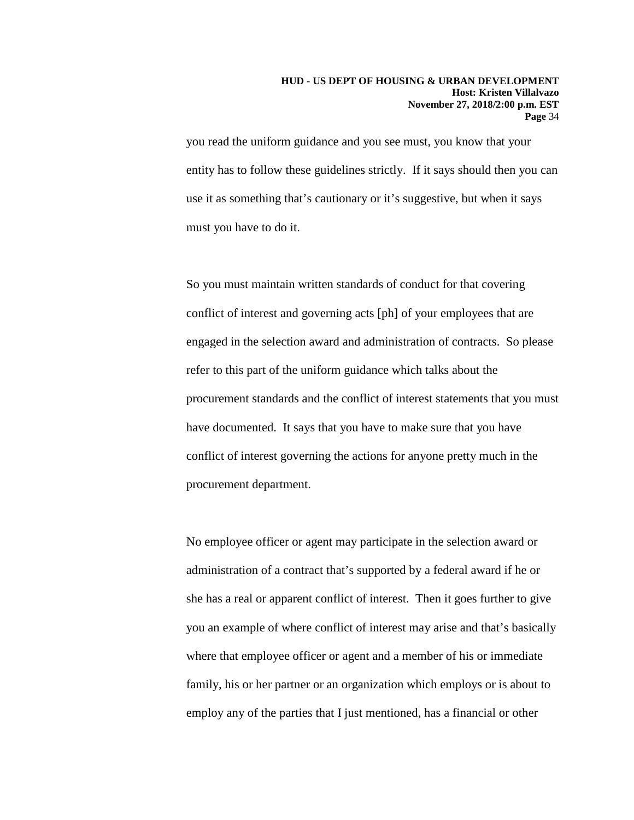### **HUD - US DEPT OF HOUSING & URBAN DEVELOPMENT Host: Kristen Villalvazo November 27, 2018/2:00 p.m. EST Page** 34

you read the uniform guidance and you see must, you know that your entity has to follow these guidelines strictly. If it says should then you can use it as something that's cautionary or it's suggestive, but when it says must you have to do it.

So you must maintain written standards of conduct for that covering conflict of interest and governing acts [ph] of your employees that are engaged in the selection award and administration of contracts. So please refer to this part of the uniform guidance which talks about the procurement standards and the conflict of interest statements that you must have documented. It says that you have to make sure that you have conflict of interest governing the actions for anyone pretty much in the procurement department.

No employee officer or agent may participate in the selection award or administration of a contract that's supported by a federal award if he or she has a real or apparent conflict of interest. Then it goes further to give you an example of where conflict of interest may arise and that's basically where that employee officer or agent and a member of his or immediate family, his or her partner or an organization which employs or is about to employ any of the parties that I just mentioned, has a financial or other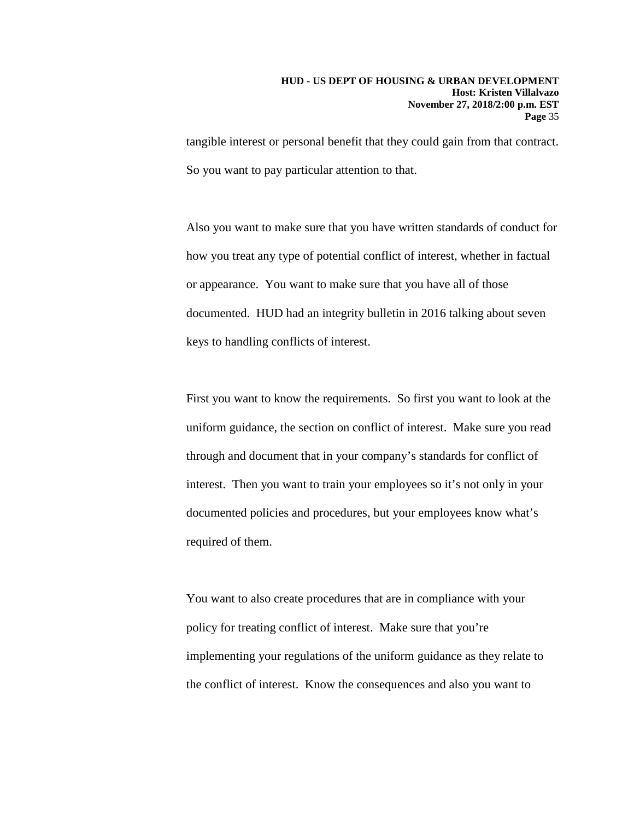tangible interest or personal benefit that they could gain from that contract. So you want to pay particular attention to that.

Also you want to make sure that you have written standards of conduct for how you treat any type of potential conflict of interest, whether in factual or appearance. You want to make sure that you have all of those documented. HUD had an integrity bulletin in 2016 talking about seven keys to handling conflicts of interest.

First you want to know the requirements. So first you want to look at the uniform guidance, the section on conflict of interest. Make sure you read through and document that in your company's standards for conflict of interest. Then you want to train your employees so it's not only in your documented policies and procedures, but your employees know what's required of them.

You want to also create procedures that are in compliance with your policy for treating conflict of interest. Make sure that you're implementing your regulations of the uniform guidance as they relate to the conflict of interest. Know the consequences and also you want to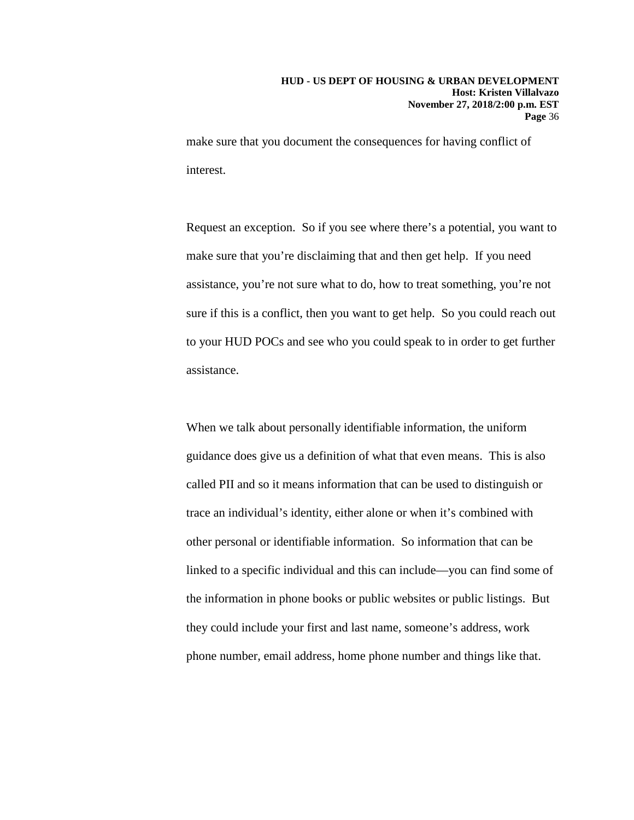make sure that you document the consequences for having conflict of interest.

Request an exception. So if you see where there's a potential, you want to make sure that you're disclaiming that and then get help. If you need assistance, you're not sure what to do, how to treat something, you're not sure if this is a conflict, then you want to get help. So you could reach out to your HUD POCs and see who you could speak to in order to get further assistance.

When we talk about personally identifiable information, the uniform guidance does give us a definition of what that even means. This is also called PII and so it means information that can be used to distinguish or trace an individual's identity, either alone or when it's combined with other personal or identifiable information. So information that can be linked to a specific individual and this can include—you can find some of the information in phone books or public websites or public listings. But they could include your first and last name, someone's address, work phone number, email address, home phone number and things like that.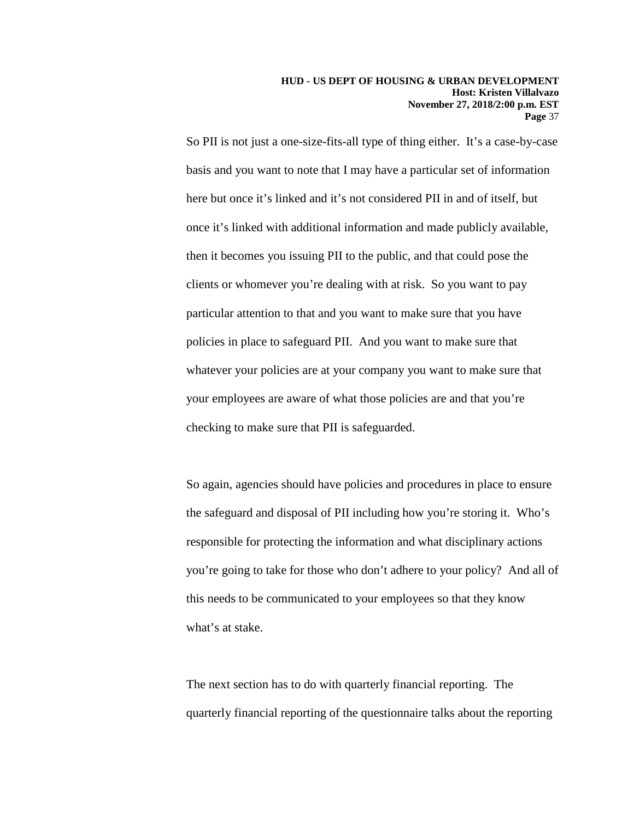So PII is not just a one-size-fits-all type of thing either. It's a case-by-case basis and you want to note that I may have a particular set of information here but once it's linked and it's not considered PII in and of itself, but once it's linked with additional information and made publicly available, then it becomes you issuing PII to the public, and that could pose the clients or whomever you're dealing with at risk. So you want to pay particular attention to that and you want to make sure that you have policies in place to safeguard PII. And you want to make sure that whatever your policies are at your company you want to make sure that your employees are aware of what those policies are and that you're checking to make sure that PII is safeguarded.

So again, agencies should have policies and procedures in place to ensure the safeguard and disposal of PII including how you're storing it. Who's responsible for protecting the information and what disciplinary actions you're going to take for those who don't adhere to your policy? And all of this needs to be communicated to your employees so that they know what's at stake.

The next section has to do with quarterly financial reporting. The quarterly financial reporting of the questionnaire talks about the reporting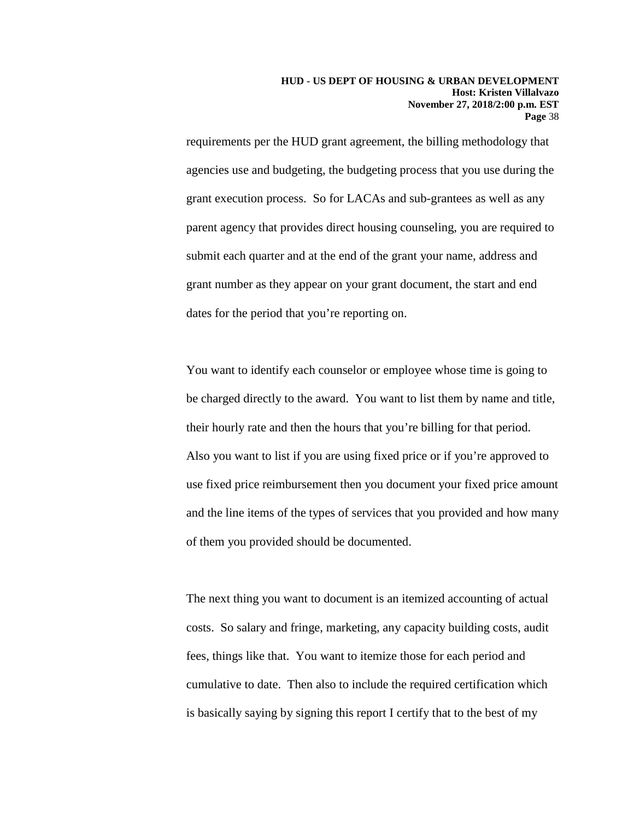requirements per the HUD grant agreement, the billing methodology that agencies use and budgeting, the budgeting process that you use during the grant execution process. So for LACAs and sub-grantees as well as any parent agency that provides direct housing counseling, you are required to submit each quarter and at the end of the grant your name, address and grant number as they appear on your grant document, the start and end dates for the period that you're reporting on.

You want to identify each counselor or employee whose time is going to be charged directly to the award. You want to list them by name and title, their hourly rate and then the hours that you're billing for that period. Also you want to list if you are using fixed price or if you're approved to use fixed price reimbursement then you document your fixed price amount and the line items of the types of services that you provided and how many of them you provided should be documented.

The next thing you want to document is an itemized accounting of actual costs. So salary and fringe, marketing, any capacity building costs, audit fees, things like that. You want to itemize those for each period and cumulative to date. Then also to include the required certification which is basically saying by signing this report I certify that to the best of my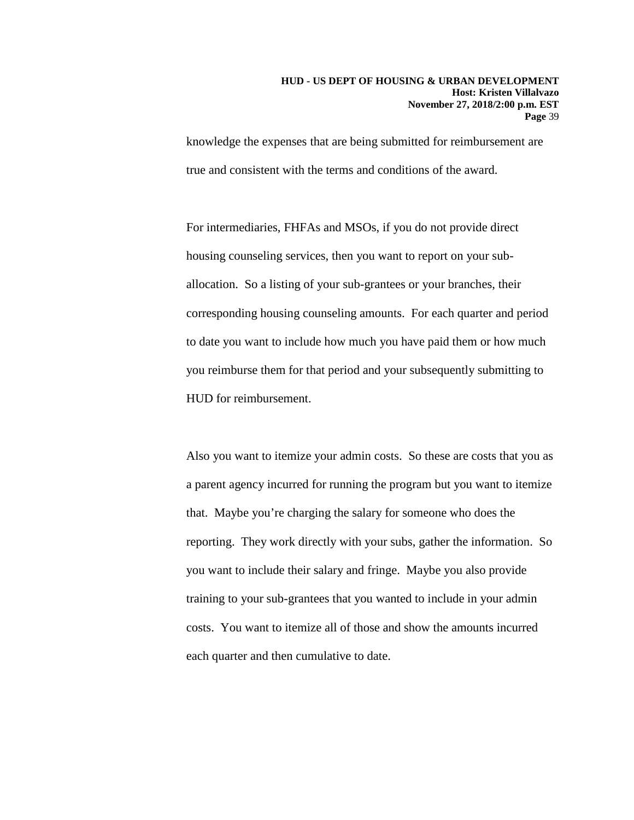knowledge the expenses that are being submitted for reimbursement are true and consistent with the terms and conditions of the award.

For intermediaries, FHFAs and MSOs, if you do not provide direct housing counseling services, then you want to report on your suballocation. So a listing of your sub-grantees or your branches, their corresponding housing counseling amounts. For each quarter and period to date you want to include how much you have paid them or how much you reimburse them for that period and your subsequently submitting to HUD for reimbursement.

Also you want to itemize your admin costs. So these are costs that you as a parent agency incurred for running the program but you want to itemize that. Maybe you're charging the salary for someone who does the reporting. They work directly with your subs, gather the information. So you want to include their salary and fringe. Maybe you also provide training to your sub-grantees that you wanted to include in your admin costs. You want to itemize all of those and show the amounts incurred each quarter and then cumulative to date.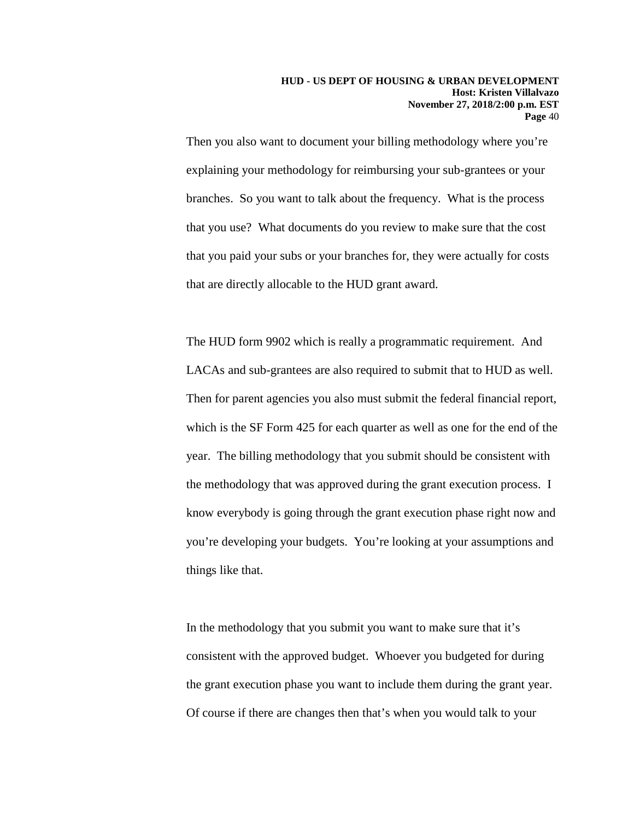Then you also want to document your billing methodology where you're explaining your methodology for reimbursing your sub-grantees or your branches. So you want to talk about the frequency. What is the process that you use? What documents do you review to make sure that the cost that you paid your subs or your branches for, they were actually for costs that are directly allocable to the HUD grant award.

The HUD form 9902 which is really a programmatic requirement. And LACAs and sub-grantees are also required to submit that to HUD as well. Then for parent agencies you also must submit the federal financial report, which is the SF Form 425 for each quarter as well as one for the end of the year. The billing methodology that you submit should be consistent with the methodology that was approved during the grant execution process. I know everybody is going through the grant execution phase right now and you're developing your budgets. You're looking at your assumptions and things like that.

In the methodology that you submit you want to make sure that it's consistent with the approved budget. Whoever you budgeted for during the grant execution phase you want to include them during the grant year. Of course if there are changes then that's when you would talk to your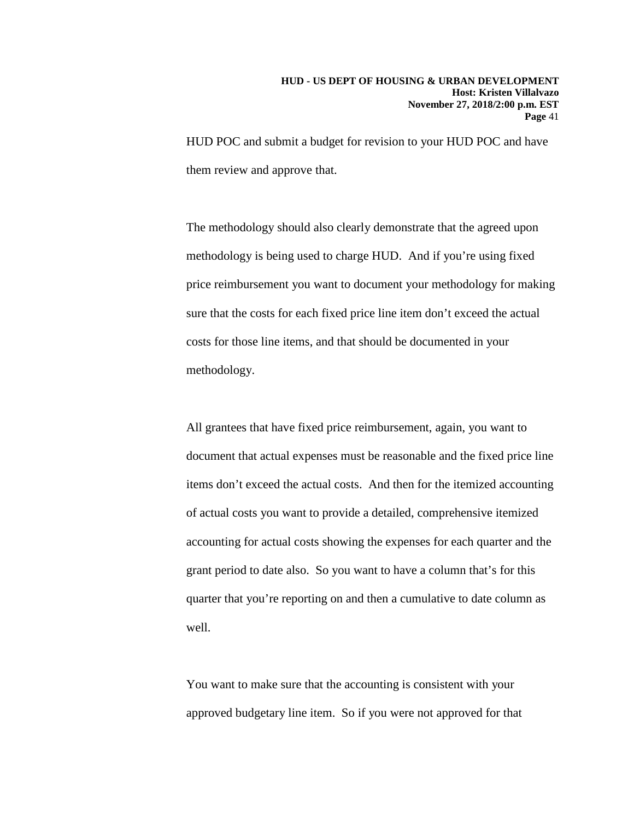HUD POC and submit a budget for revision to your HUD POC and have them review and approve that.

The methodology should also clearly demonstrate that the agreed upon methodology is being used to charge HUD. And if you're using fixed price reimbursement you want to document your methodology for making sure that the costs for each fixed price line item don't exceed the actual costs for those line items, and that should be documented in your methodology.

All grantees that have fixed price reimbursement, again, you want to document that actual expenses must be reasonable and the fixed price line items don't exceed the actual costs. And then for the itemized accounting of actual costs you want to provide a detailed, comprehensive itemized accounting for actual costs showing the expenses for each quarter and the grant period to date also. So you want to have a column that's for this quarter that you're reporting on and then a cumulative to date column as well.

You want to make sure that the accounting is consistent with your approved budgetary line item. So if you were not approved for that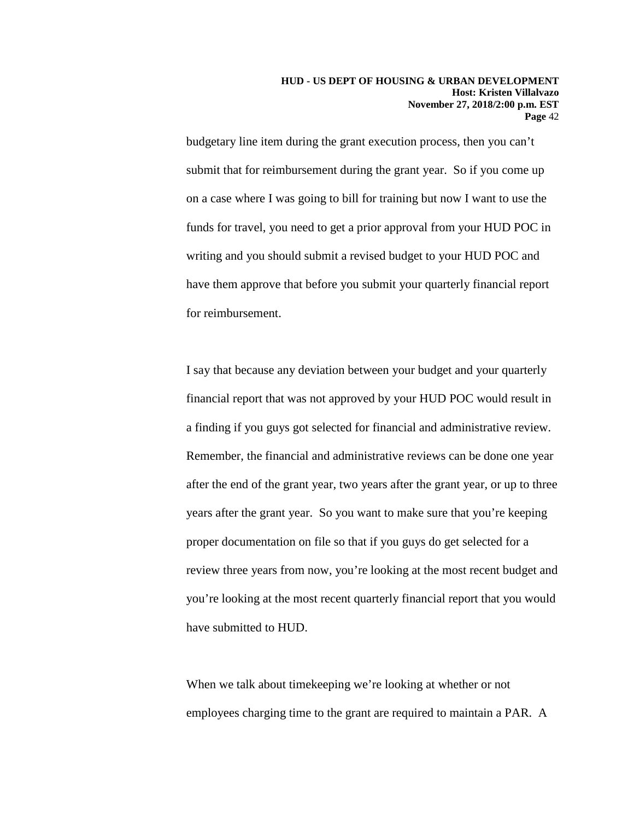budgetary line item during the grant execution process, then you can't submit that for reimbursement during the grant year. So if you come up on a case where I was going to bill for training but now I want to use the funds for travel, you need to get a prior approval from your HUD POC in writing and you should submit a revised budget to your HUD POC and have them approve that before you submit your quarterly financial report for reimbursement.

I say that because any deviation between your budget and your quarterly financial report that was not approved by your HUD POC would result in a finding if you guys got selected for financial and administrative review. Remember, the financial and administrative reviews can be done one year after the end of the grant year, two years after the grant year, or up to three years after the grant year. So you want to make sure that you're keeping proper documentation on file so that if you guys do get selected for a review three years from now, you're looking at the most recent budget and you're looking at the most recent quarterly financial report that you would have submitted to HUD.

When we talk about timekeeping we're looking at whether or not employees charging time to the grant are required to maintain a PAR. A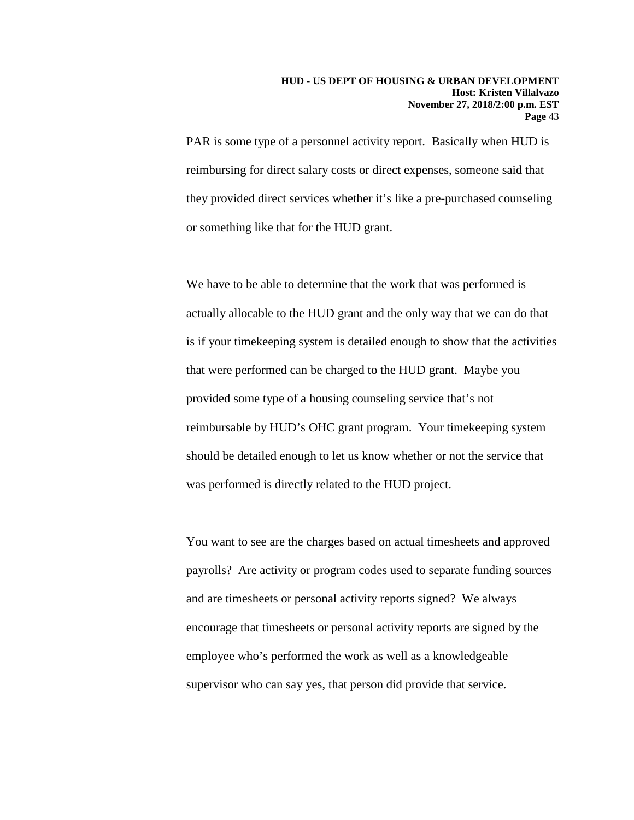PAR is some type of a personnel activity report. Basically when HUD is reimbursing for direct salary costs or direct expenses, someone said that they provided direct services whether it's like a pre-purchased counseling or something like that for the HUD grant.

We have to be able to determine that the work that was performed is actually allocable to the HUD grant and the only way that we can do that is if your timekeeping system is detailed enough to show that the activities that were performed can be charged to the HUD grant. Maybe you provided some type of a housing counseling service that's not reimbursable by HUD's OHC grant program. Your timekeeping system should be detailed enough to let us know whether or not the service that was performed is directly related to the HUD project.

You want to see are the charges based on actual timesheets and approved payrolls? Are activity or program codes used to separate funding sources and are timesheets or personal activity reports signed? We always encourage that timesheets or personal activity reports are signed by the employee who's performed the work as well as a knowledgeable supervisor who can say yes, that person did provide that service.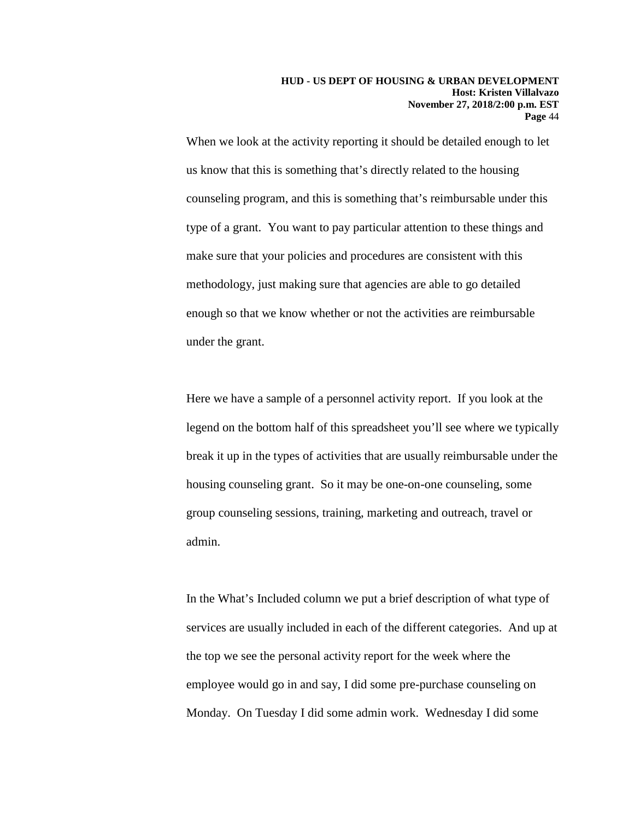When we look at the activity reporting it should be detailed enough to let us know that this is something that's directly related to the housing counseling program, and this is something that's reimbursable under this type of a grant. You want to pay particular attention to these things and make sure that your policies and procedures are consistent with this methodology, just making sure that agencies are able to go detailed enough so that we know whether or not the activities are reimbursable under the grant.

Here we have a sample of a personnel activity report. If you look at the legend on the bottom half of this spreadsheet you'll see where we typically break it up in the types of activities that are usually reimbursable under the housing counseling grant. So it may be one-on-one counseling, some group counseling sessions, training, marketing and outreach, travel or admin.

In the What's Included column we put a brief description of what type of services are usually included in each of the different categories. And up at the top we see the personal activity report for the week where the employee would go in and say, I did some pre-purchase counseling on Monday. On Tuesday I did some admin work. Wednesday I did some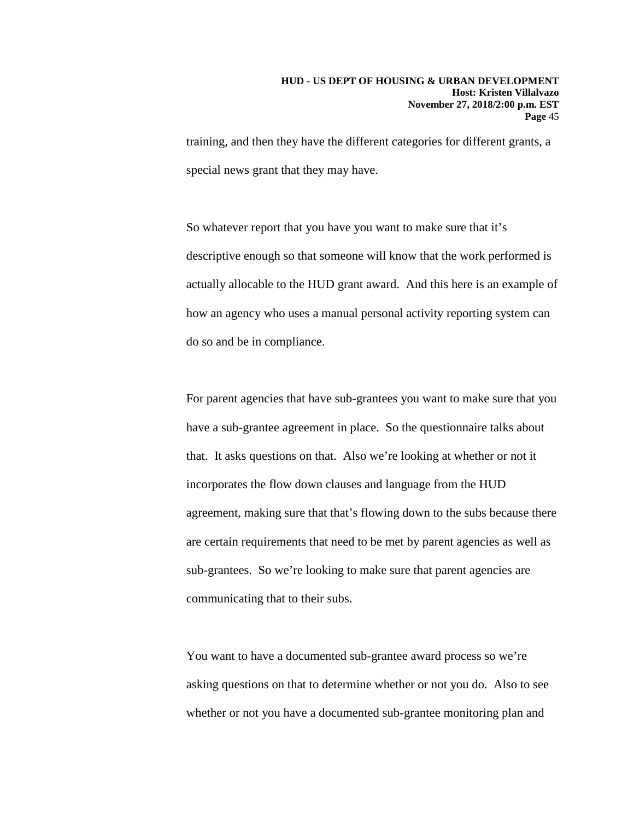training, and then they have the different categories for different grants, a special news grant that they may have.

So whatever report that you have you want to make sure that it's descriptive enough so that someone will know that the work performed is actually allocable to the HUD grant award. And this here is an example of how an agency who uses a manual personal activity reporting system can do so and be in compliance.

For parent agencies that have sub-grantees you want to make sure that you have a sub-grantee agreement in place. So the questionnaire talks about that. It asks questions on that. Also we're looking at whether or not it incorporates the flow down clauses and language from the HUD agreement, making sure that that's flowing down to the subs because there are certain requirements that need to be met by parent agencies as well as sub-grantees. So we're looking to make sure that parent agencies are communicating that to their subs.

You want to have a documented sub-grantee award process so we're asking questions on that to determine whether or not you do. Also to see whether or not you have a documented sub-grantee monitoring plan and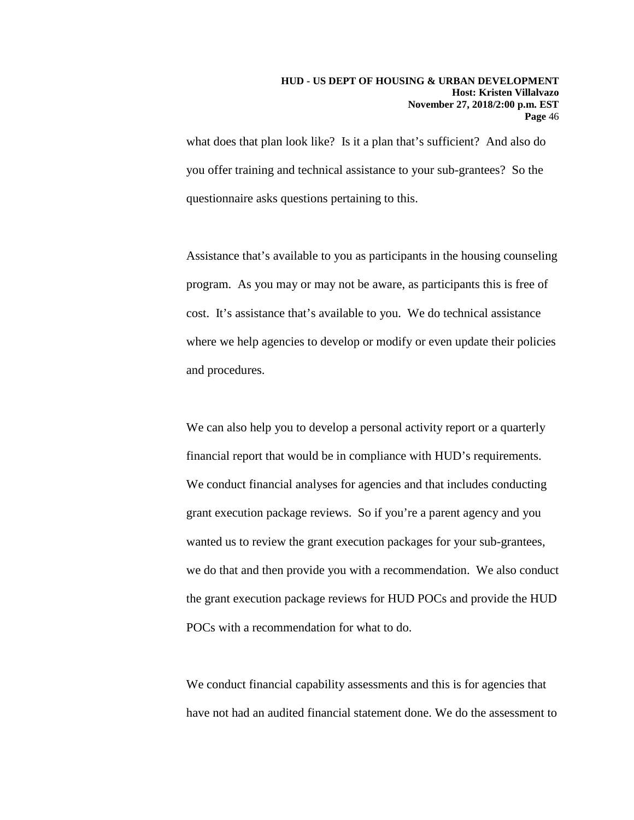what does that plan look like? Is it a plan that's sufficient? And also do you offer training and technical assistance to your sub-grantees? So the questionnaire asks questions pertaining to this.

Assistance that's available to you as participants in the housing counseling program. As you may or may not be aware, as participants this is free of cost. It's assistance that's available to you. We do technical assistance where we help agencies to develop or modify or even update their policies and procedures.

We can also help you to develop a personal activity report or a quarterly financial report that would be in compliance with HUD's requirements. We conduct financial analyses for agencies and that includes conducting grant execution package reviews. So if you're a parent agency and you wanted us to review the grant execution packages for your sub-grantees, we do that and then provide you with a recommendation. We also conduct the grant execution package reviews for HUD POCs and provide the HUD POCs with a recommendation for what to do.

We conduct financial capability assessments and this is for agencies that have not had an audited financial statement done. We do the assessment to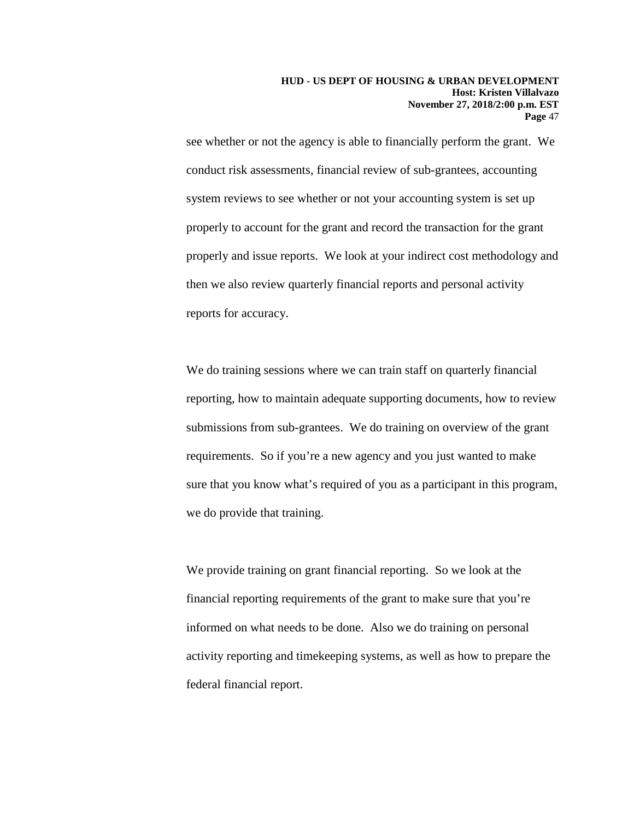see whether or not the agency is able to financially perform the grant. We conduct risk assessments, financial review of sub-grantees, accounting system reviews to see whether or not your accounting system is set up properly to account for the grant and record the transaction for the grant properly and issue reports. We look at your indirect cost methodology and then we also review quarterly financial reports and personal activity reports for accuracy.

We do training sessions where we can train staff on quarterly financial reporting, how to maintain adequate supporting documents, how to review submissions from sub-grantees. We do training on overview of the grant requirements. So if you're a new agency and you just wanted to make sure that you know what's required of you as a participant in this program, we do provide that training.

We provide training on grant financial reporting. So we look at the financial reporting requirements of the grant to make sure that you're informed on what needs to be done. Also we do training on personal activity reporting and timekeeping systems, as well as how to prepare the federal financial report.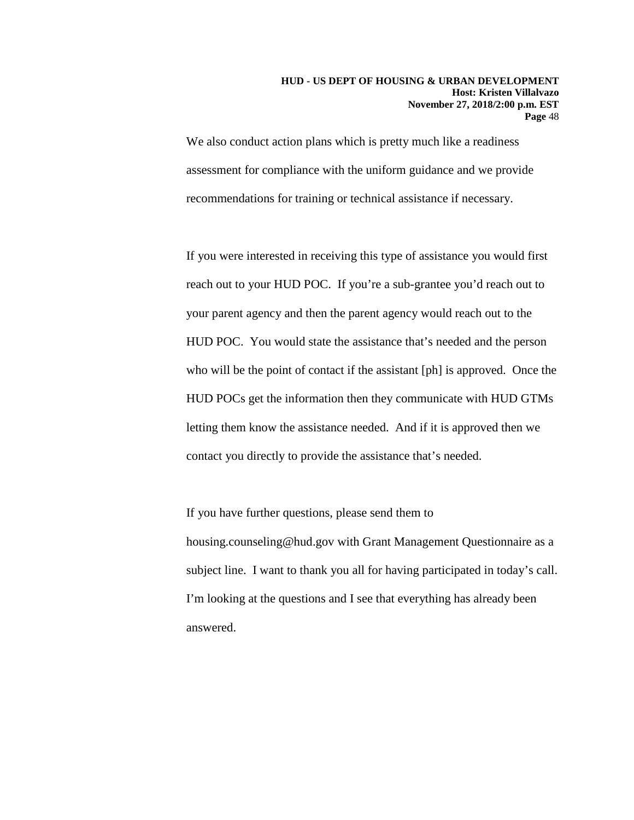We also conduct action plans which is pretty much like a readiness assessment for compliance with the uniform guidance and we provide recommendations for training or technical assistance if necessary.

If you were interested in receiving this type of assistance you would first reach out to your HUD POC. If you're a sub-grantee you'd reach out to your parent agency and then the parent agency would reach out to the HUD POC. You would state the assistance that's needed and the person who will be the point of contact if the assistant [ph] is approved. Once the HUD POCs get the information then they communicate with HUD GTMs letting them know the assistance needed. And if it is approved then we contact you directly to provide the assistance that's needed.

If you have further questions, please send them to housing.counseling@hud.gov with Grant Management Questionnaire as a subject line. I want to thank you all for having participated in today's call. I'm looking at the questions and I see that everything has already been answered.